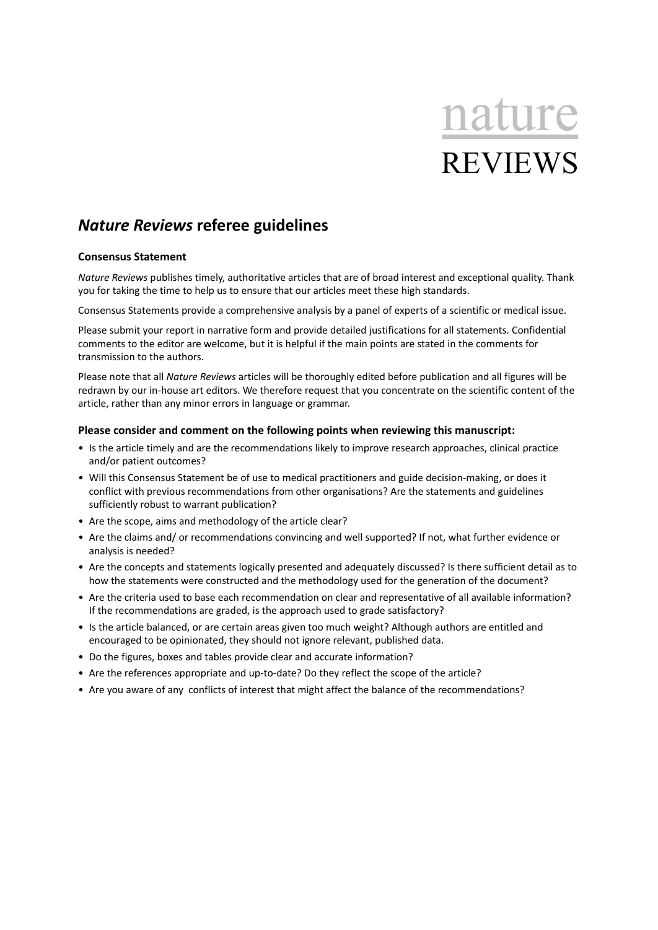# nature **REVIEWS**

# *Nature Reviews* **referee guidelines**

#### **Consensus Statement**

*Nature Reviews* publishes timely, authoritative articles that are of broad interest and exceptional quality. Thank you for taking the time to help us to ensure that our articles meet these high standards.

Consensus Statements provide a comprehensive analysis by a panel of experts of a scientific or medical issue.

Please submit your report in narrative form and provide detailed justifications for all statements. Confidential comments to the editor are welcome, but it is helpful if the main points are stated in the comments for transmission to the authors.

Please note that all *Nature Reviews* articles will be thoroughly edited before publication and all figures will be redrawn by our in-house art editors. We therefore request that you concentrate on the scientific content of the article, rather than any minor errors in language or grammar.

#### **Please consider and comment on the following points when reviewing this manuscript:**

- Is the article timely and are the recommendations likely to improve research approaches, clinical practice and/or patient outcomes?
- Will this Consensus Statement be of use to medical practitioners and guide decision-making, or does it conflict with previous recommendations from other organisations? Are the statements and guidelines sufficiently robust to warrant publication?
- Are the scope, aims and methodology of the article clear?
- Are the claims and/ or recommendations convincing and well supported? If not, what further evidence or analysis is needed?
- Are the concepts and statements logically presented and adequately discussed? Is there sufficient detail as to how the statements were constructed and the methodology used for the generation of the document?
- Are the criteria used to base each recommendation on clear and representative of all available information? If the recommendations are graded, is the approach used to grade satisfactory?
- Is the article balanced, or are certain areas given too much weight? Although authors are entitled and encouraged to be opinionated, they should not ignore relevant, published data.
- Do the figures, boxes and tables provide clear and accurate information?
- Are the references appropriate and up-to-date? Do they reflect the scope of the article?
- Are you aware of any conflicts of interest that might affect the balance of the recommendations?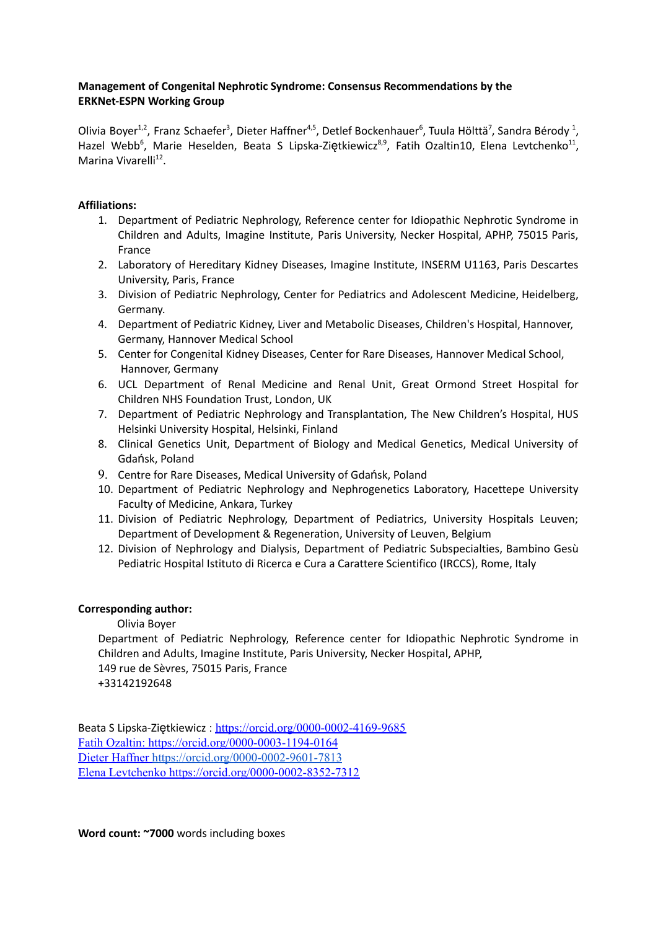## **Management of Congenital Nephrotic Syndrome: Consensus Recommendations by the ERKNet-ESPN Working Group**

Olivia Boyer<sup>1,2</sup>, Franz Schaefer<sup>3</sup>, Dieter Haffner<sup>4,5</sup>, Detlef Bockenhauer<sup>6</sup>, Tuula Hölttä<sup>7</sup>, Sandra Bérody <sup>1</sup>, Hazel Webb<sup>6</sup>, Marie Heselden, Beata S Lipska-Ziętkiewicz<sup>8,9</sup>, Fatih Ozaltin10, Elena Levtchenko<sup>11</sup>, Marina Vivarelli<sup>12</sup>.

## **Affiliations:**

- 1. Department of Pediatric Nephrology, Reference center for Idiopathic Nephrotic Syndrome in Children and Adults, Imagine Institute, Paris University, Necker Hospital, APHP, 75015 Paris, France
- 2. Laboratory of Hereditary Kidney Diseases, Imagine Institute, INSERM U1163, Paris Descartes University, Paris, France
- 3. Division of Pediatric Nephrology, Center for Pediatrics and Adolescent Medicine, Heidelberg, Germany.
- 4. Department of Pediatric Kidney, Liver and Metabolic Diseases, Children's Hospital, Hannover, Germany, Hannover Medical School
- 5. Center for Congenital Kidney Diseases, Center for Rare Diseases, Hannover Medical School, Hannover, Germany
- 6. UCL Department of Renal Medicine and Renal Unit, Great Ormond Street Hospital for Children NHS Foundation Trust, London, UK
- 7. Department of Pediatric Nephrology and Transplantation, The New Children's Hospital, HUS Helsinki University Hospital, Helsinki, Finland
- 8. Clinical Genetics Unit, Department of Biology and Medical Genetics, Medical University of Gdańsk, Poland
- 9. Centre for Rare Diseases, Medical University of Gdańsk, Poland
- 10. Department of Pediatric Nephrology and Nephrogenetics Laboratory, Hacettepe University Faculty of Medicine, Ankara, Turkey
- 11. Division of Pediatric Nephrology, Department of Pediatrics, University Hospitals Leuven; Department of Development & Regeneration, University of Leuven, Belgium
- 12. Division of Nephrology and Dialysis, Department of Pediatric Subspecialties, Bambino Gesù Pediatric Hospital Istituto di Ricerca e Cura a Carattere Scientifico (IRCCS), Rome, Italy

## **Corresponding author:**

Olivia Boyer

Department of Pediatric Nephrology, Reference center for Idiopathic Nephrotic Syndrome in Children and Adults, Imagine Institute, Paris University, Necker Hospital, APHP, 149 rue de Sèvres, 75015 Paris, France +33142192648

Beata S Lipska-Ziętkiewicz : [https://orcid.org/0000-0002-4169-9685](https://clicktime.symantec.com/3C88uHjZFMRrCJupcZexTux6H2?u=https%3A%2F%2Forcid.org%2F0000-0002-4169-9685) Fatih Ozaltin: https://orcid.org/0000-0003-1194-0164 Dieter Haffner <https://orcid.org/0000-0002-9601-7813> Elena Levtchenko https://orcid.org/0000-0002-8352-7312

**Word count: ~7000** words including boxes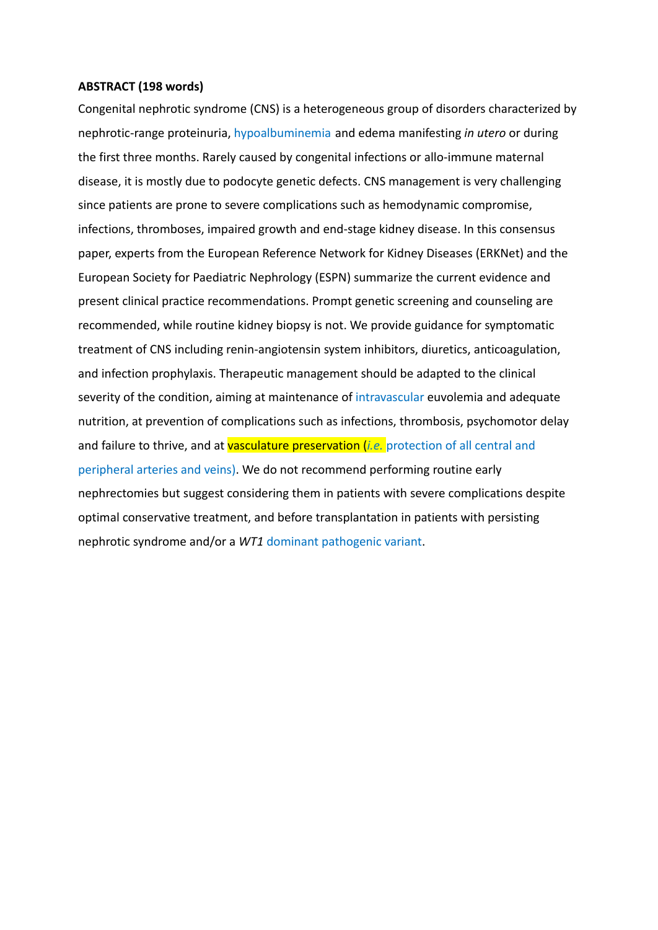#### **ABSTRACT (198 words)**

Congenital nephrotic syndrome (CNS) is a heterogeneous group of disorders characterized by nephrotic-range proteinuria, hypoalbuminemia and edema manifesting *in utero* or during the first three months. Rarely caused by congenital infections or allo-immune maternal disease, it is mostly due to podocyte genetic defects. CNS management is very challenging since patients are prone to severe complications such as hemodynamic compromise, infections, thromboses, impaired growth and end-stage kidney disease. In this consensus paper, experts from the European Reference Network for Kidney Diseases (ERKNet) and the European Society for Paediatric Nephrology (ESPN) summarize the current evidence and present clinical practice recommendations. Prompt genetic screening and counseling are recommended, while routine kidney biopsy is not. We provide guidance for symptomatic treatment of CNS including renin-angiotensin system inhibitors, diuretics, anticoagulation, and infection prophylaxis. Therapeutic management should be adapted to the clinical severity of the condition, aiming at maintenance of intravascular euvolemia and adequate nutrition, at prevention of complications such as infections, thrombosis, psychomotor delay and failure to thrive, and at vasculature preservation *(i.e.* protection of all central and peripheral arteries and veins). We do not recommend performing routine early nephrectomies but suggest considering them in patients with severe complications despite optimal conservative treatment, and before transplantation in patients with persisting nephrotic syndrome and/or a *WT1* dominant pathogenic variant.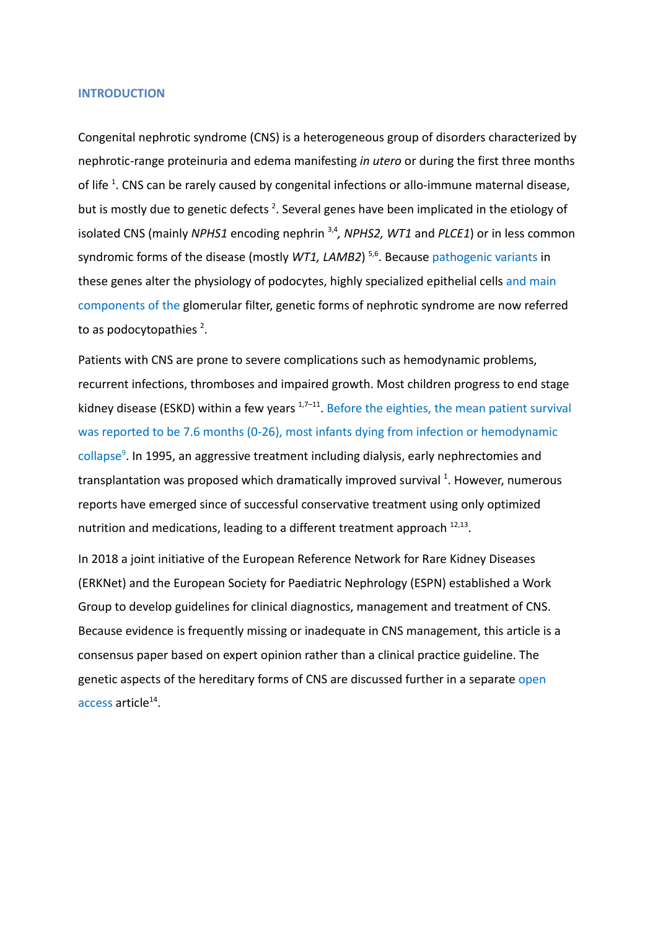#### **INTRODUCTION**

Congenital nephrotic syndrome (CNS) is a heterogeneous group of disorders characterized by nephrotic-range proteinuria and edema manifesting *in utero* or during the first three months of life <sup>1</sup>. CNS can be rarely caused by congenital infections or allo-immune maternal disease, but is mostly due to genetic defects<sup>2</sup>. Several genes have been implicated in the etiology of isolated CNS (mainly *NPHS1* encoding nephrin <sup>3,4</sup>, *NPHS2, WT1* and *PLCE1*) or in less common syndromic forms of the disease (mostly *WT1, LAMB2*)<sup>5,6</sup>. Because pathogenic variants in these genes alter the physiology of podocytes, highly specialized epithelial cells and main components of the glomerular filter, genetic forms of nephrotic syndrome are now referred to as podocytopathies  $2$ .

Patients with CNS are prone to severe complications such as hemodynamic problems, recurrent infections, thromboses and impaired growth. Most children progress to end stage kidney disease (ESKD) within a few years <sup>1,7–11</sup>. Before the eighties, the mean patient survival was reported to be 7.6 months (0-26), most infants dying from infection or hemodynamic collapse<sup>9</sup>. In 1995, an aggressive treatment including dialysis, early nephrectomies and transplantation was proposed which dramatically improved survival <sup>1</sup>. However, numerous reports have emerged since of successful conservative treatment using only optimized nutrition and medications, leading to a different treatment approach  $^{12,13}$ .

In 2018 a joint initiative of the European Reference Network for Rare Kidney Diseases (ERKNet) and the European Society for Paediatric Nephrology (ESPN) established a Work Group to develop guidelines for clinical diagnostics, management and treatment of CNS. Because evidence is frequently missing or inadequate in CNS management, this article is a consensus paper based on expert opinion rather than a clinical practice guideline. The genetic aspects of the hereditary forms of CNS are discussed further in a separate open access article<sup>14</sup>.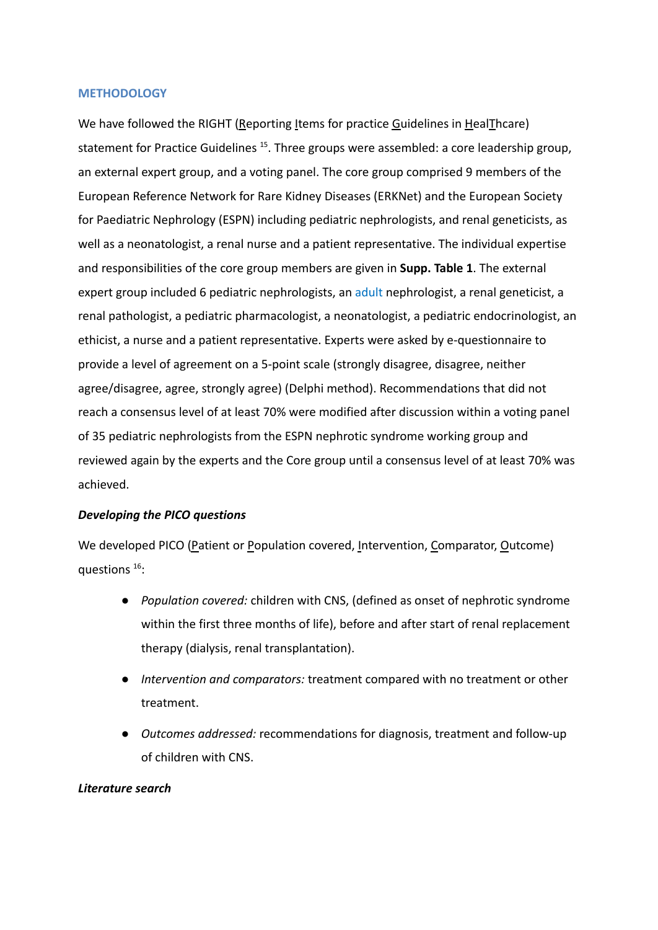## **METHODOLOGY**

We have followed the RIGHT (Reporting Items for practice  $\overline{G}$ uidelines in HealThcare) statement for Practice Guidelines <sup>15</sup>. Three groups were assembled: a core leadership group, an external expert group, and a voting panel. The core group comprised 9 members of the European Reference Network for Rare Kidney Diseases (ERKNet) and the European Society for Paediatric Nephrology (ESPN) including pediatric nephrologists, and renal geneticists, as well as a neonatologist, a renal nurse and a patient representative. The individual expertise and responsibilities of the core group members are given in **Supp. Table 1**. The external expert group included 6 pediatric nephrologists, an adult nephrologist, a renal geneticist, a renal pathologist, a pediatric pharmacologist, a neonatologist, a pediatric endocrinologist, an ethicist, a nurse and a patient representative. Experts were asked by e-questionnaire to provide a level of agreement on a 5-point scale (strongly disagree, disagree, neither agree/disagree, agree, strongly agree) (Delphi method). Recommendations that did not reach a consensus level of at least 70% were modified after discussion within a voting panel of 35 pediatric nephrologists from the ESPN nephrotic syndrome working group and reviewed again by the experts and the Core group until a consensus level of at least 70% was achieved.

## *Developing the PICO questions*

We developed PICO (Patient or Population covered, Intervention, Comparator, Outcome) questions<sup>16</sup>:

- *Population covered:* children with CNS, (defined as onset of nephrotic syndrome within the first three months of life), before and after start of renal replacement therapy (dialysis, renal transplantation).
- *● Intervention and comparators:* treatment compared with no treatment or other treatment.
- *Outcomes addressed:* recommendations for diagnosis, treatment and follow-up of children with CNS.

## *Literature search*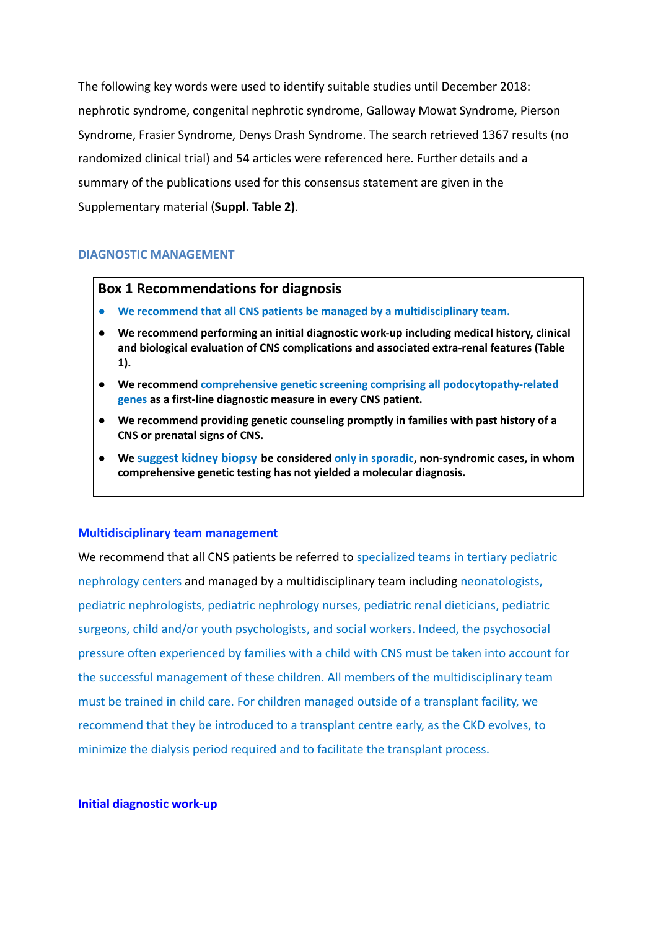The following key words were used to identify suitable studies until December 2018: nephrotic syndrome, congenital nephrotic syndrome, Galloway Mowat Syndrome, Pierson Syndrome, Frasier Syndrome, Denys Drash Syndrome. The search retrieved 1367 results (no randomized clinical trial) and 54 articles were referenced here. Further details and a summary of the publications used for this consensus statement are given in the Supplementary material (**Suppl. Table 2)**.

#### **DIAGNOSTIC MANAGEMENT**

#### **Box 1 Recommendations for diagnosis**

- **● We recommend that all CNS patients be managed by a multidisciplinary team.**
- **● We recommend performing an initial diagnostic work-up including medical history, clinical and biological evaluation of CNS complications and associated extra-renal features (Table 1).**
- **● We recommend comprehensive genetic screening comprising all podocytopathy-related genes as a first-line diagnostic measure in every CNS patient.**
- **● We recommend providing genetic counseling promptly in families with past history of a CNS or prenatal signs of CNS.**
- **● We suggest kidney biopsy be considered only in sporadic, non-syndromic cases, in whom comprehensive genetic testing has not yielded a molecular diagnosis.**

#### **Multidisciplinary team management**

We recommend that all CNS patients be referred to specialized teams in tertiary pediatric nephrology centers and managed by a multidisciplinary team including neonatologists, pediatric nephrologists, pediatric nephrology nurses, pediatric renal dieticians, pediatric surgeons, child and/or youth psychologists, and social workers. Indeed, the psychosocial pressure often experienced by families with a child with CNS must be taken into account for the successful management of these children. All members of the multidisciplinary team must be trained in child care. For children managed outside of a transplant facility, we recommend that they be introduced to a transplant centre early, as the CKD evolves, to minimize the dialysis period required and to facilitate the transplant process.

#### **Initial diagnostic work-up**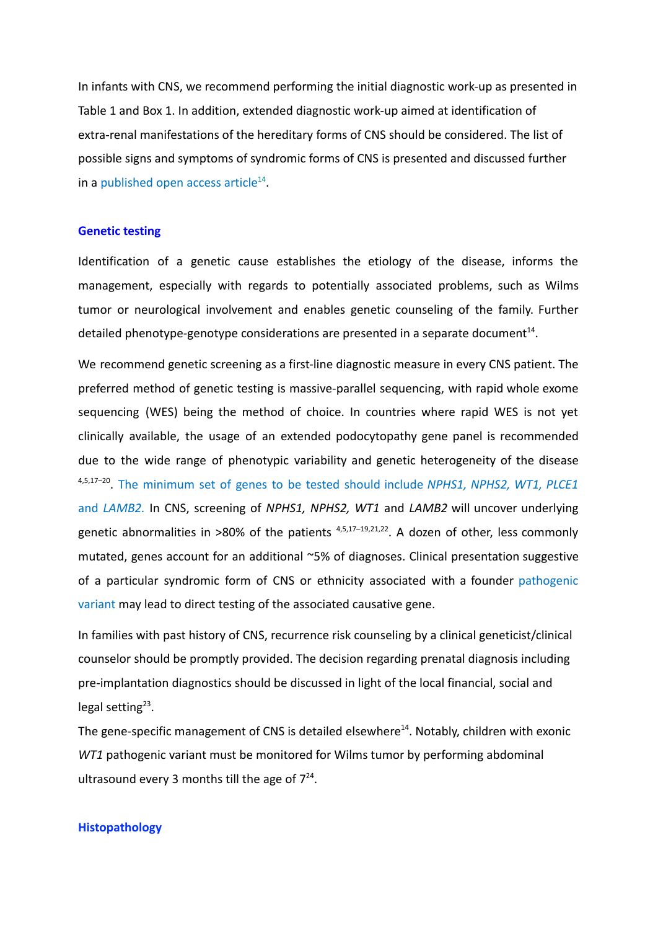In infants with CNS, we recommend performing the initial diagnostic work-up as presented in Table 1 and Box 1. In addition, extended diagnostic work-up aimed at identification of extra-renal manifestations of the hereditary forms of CNS should be considered. The list of possible signs and symptoms of syndromic forms of CNS is presented and discussed further in a published open access article $^{14}$ .

#### **Genetic testing**

Identification of a genetic cause establishes the etiology of the disease, informs the management, especially with regards to potentially associated problems, such as Wilms tumor or neurological involvement and enables genetic counseling of the family. Further detailed phenotype-genotype considerations are presented in a separate document<sup>14</sup>.

We recommend genetic screening as a first-line diagnostic measure in every CNS patient. The preferred method of genetic testing is massive-parallel sequencing, with rapid whole exome sequencing (WES) being the method of choice. In countries where rapid WES is not yet clinically available, the usage of an extended podocytopathy gene panel is recommended due to the wide range of phenotypic variability and genetic heterogeneity of the disease 4,5,17–20 . The minimum set of genes to be tested should include *NPHS1, NPHS2, WT1, PLCE1* and *LAMB2.* In CNS, screening of *NPHS1, NPHS2, WT1* and *LAMB2* will uncover underlying genetic abnormalities in >80% of the patients <sup>4,5,17-19,21,22</sup>. A dozen of other, less commonly mutated, genes account for an additional ~5% of diagnoses. Clinical presentation suggestive of a particular syndromic form of CNS or ethnicity associated with a founder pathogenic variant may lead to direct testing of the associated causative gene.

In families with past history of CNS, recurrence risk counseling by a clinical geneticist/clinical counselor should be promptly provided. The decision regarding prenatal diagnosis including pre-implantation diagnostics should be discussed in light of the local financial, social and legal setting<sup>23</sup>.

The gene-specific management of CNS is detailed elsewhere<sup>14</sup>. Notably, children with exonic *WT1* pathogenic variant must be monitored for Wilms tumor by performing abdominal ultrasound every 3 months till the age of  $7^{24}$ .

#### **Histopathology**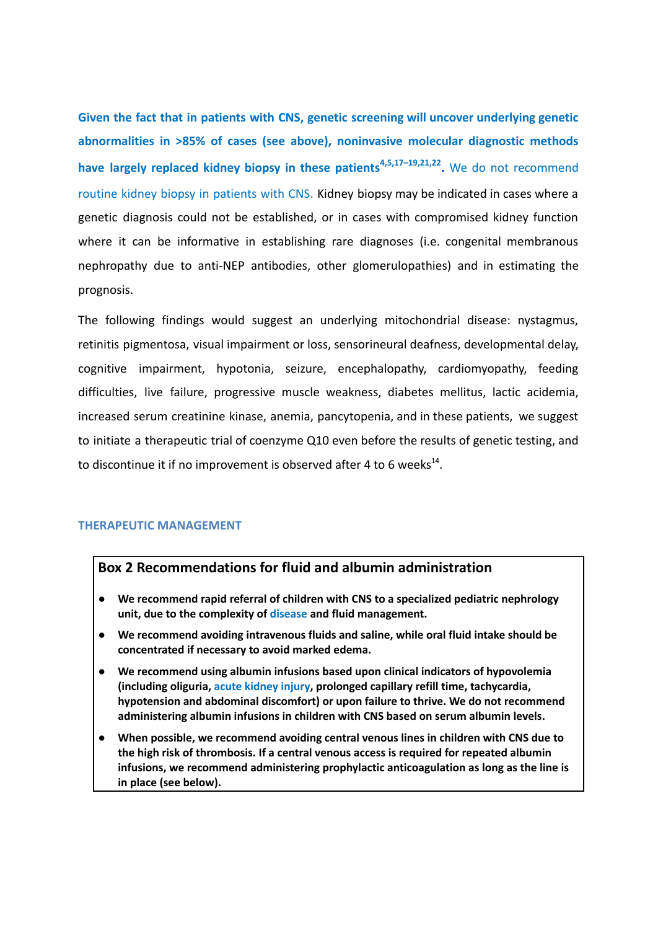**Given the fact that in patients with CNS, genetic screening will uncover underlying genetic abnormalities in >85% of cases (see above), noninvasive molecular diagnostic methods have largely replaced kidney biopsy in these patients4,5,17–19,21,22 .** We do not recommend routine kidney biopsy in patients with CNS. Kidney biopsy may be indicated in cases where a genetic diagnosis could not be established, or in cases with compromised kidney function where it can be informative in establishing rare diagnoses (i.e. congenital membranous nephropathy due to anti-NEP antibodies, other glomerulopathies) and in estimating the prognosis.

The following findings would suggest an underlying mitochondrial disease: nystagmus, retinitis pigmentosa, visual impairment or loss, sensorineural deafness, developmental delay, cognitive impairment, hypotonia, seizure, encephalopathy, cardiomyopathy, feeding difficulties, live failure, progressive muscle weakness, diabetes mellitus, lactic acidemia, increased serum creatinine kinase, anemia, pancytopenia, and in these patients, we suggest to initiate a therapeutic trial of coenzyme Q10 even before the results of genetic testing, and to discontinue it if no improvement is observed after 4 to 6 weeks<sup>14</sup>.

#### **THERAPEUTIC MANAGEMENT**

## **Box 2 Recommendations for fluid and albumin administration**

- **● We recommend rapid referral of children with CNS to a specialized pediatric nephrology unit, due to the complexity of disease and fluid management.**
- **● We recommend avoiding intravenous fluids and saline, while oral fluid intake should be concentrated if necessary to avoid marked edema.**
- **● We recommend using albumin infusions based upon clinical indicators of hypovolemia (including oliguria, acute kidney injury, prolonged capillary refill time, tachycardia, hypotension and abdominal discomfort) or upon failure to thrive. We do not recommend administering albumin infusions in children with CNS based on serum albumin levels.**
- **● When possible, we recommend avoiding central venous lines in children with CNS due to the high risk of thrombosis. If a central venous access is required for repeated albumin infusions, we recommend administering prophylactic anticoagulation as long as the line is in place (see below).**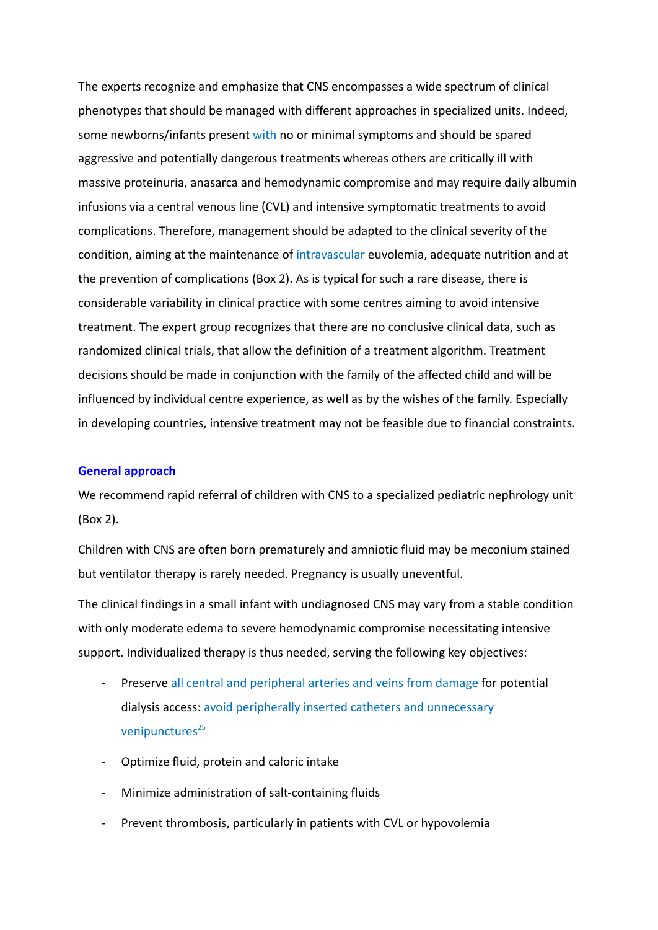The experts recognize and emphasize that CNS encompasses a wide spectrum of clinical phenotypes that should be managed with different approaches in specialized units. Indeed, some newborns/infants present with no or minimal symptoms and should be spared aggressive and potentially dangerous treatments whereas others are critically ill with massive proteinuria, anasarca and hemodynamic compromise and may require daily albumin infusions via a central venous line (CVL) and intensive symptomatic treatments to avoid complications. Therefore, management should be adapted to the clinical severity of the condition, aiming at the maintenance of intravascular euvolemia, adequate nutrition and at the prevention of complications (Box 2). As is typical for such a rare disease, there is considerable variability in clinical practice with some centres aiming to avoid intensive treatment. The expert group recognizes that there are no conclusive clinical data, such as randomized clinical trials, that allow the definition of a treatment algorithm. Treatment decisions should be made in conjunction with the family of the affected child and will be influenced by individual centre experience, as well as by the wishes of the family. Especially in developing countries, intensive treatment may not be feasible due to financial constraints.

#### **General approach**

We recommend rapid referral of children with CNS to a specialized pediatric nephrology unit (Box 2).

Children with CNS are often born prematurely and amniotic fluid may be meconium stained but ventilator therapy is rarely needed. Pregnancy is usually uneventful.

The clinical findings in a small infant with undiagnosed CNS may vary from a stable condition with only moderate edema to severe hemodynamic compromise necessitating intensive support. Individualized therapy is thus needed, serving the following key objectives:

- Preserve all central and peripheral arteries and veins from damage for potential dialysis access: avoid peripherally inserted catheters and unnecessary venipunctures $^{25}$
- Optimize fluid, protein and caloric intake
- Minimize administration of salt-containing fluids
- Prevent thrombosis, particularly in patients with CVL or hypovolemia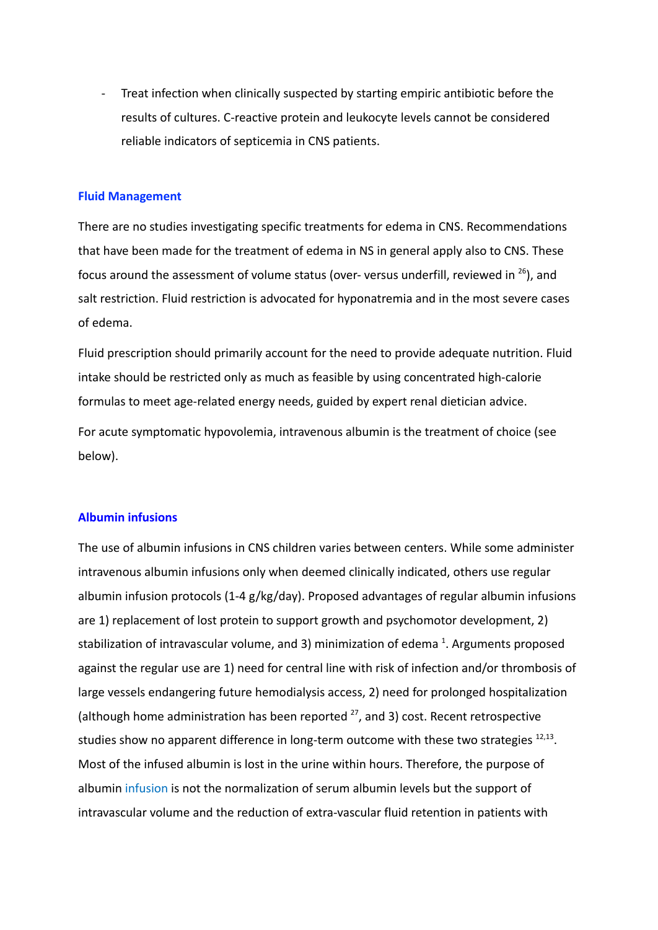- Treat infection when clinically suspected by starting empiric antibiotic before the results of cultures. C-reactive protein and leukocyte levels cannot be considered reliable indicators of septicemia in CNS patients.

## **Fluid Management**

There are no studies investigating specific treatments for edema in CNS. Recommendations that have been made for the treatment of edema in NS in general apply also to CNS. These focus around the assessment of volume status (over- versus underfill, reviewed in  $^{26}$ ), and salt restriction. Fluid restriction is advocated for hyponatremia and in the most severe cases of edema.

Fluid prescription should primarily account for the need to provide adequate nutrition. Fluid intake should be restricted only as much as feasible by using concentrated high-calorie formulas to meet age-related energy needs, guided by expert renal dietician advice.

For acute symptomatic hypovolemia, intravenous albumin is the treatment of choice (see below).

## **Albumin infusions**

The use of albumin infusions in CNS children varies between centers. While some administer intravenous albumin infusions only when deemed clinically indicated, others use regular albumin infusion protocols (1-4 g/kg/day). Proposed advantages of regular albumin infusions are 1) replacement of lost protein to support growth and psychomotor development, 2) stabilization of intravascular volume, and 3) minimization of edema  $^1$ . Arguments proposed against the regular use are 1) need for central line with risk of infection and/or thrombosis of large vessels endangering future hemodialysis access, 2) need for prolonged hospitalization (although home administration has been reported  $27$ , and 3) cost. Recent retrospective studies show no apparent difference in long-term outcome with these two strategies  $^{12,13}$ . Most of the infused albumin is lost in the urine within hours. Therefore, the purpose of albumin infusion is not the normalization of serum albumin levels but the support of intravascular volume and the reduction of extra-vascular fluid retention in patients with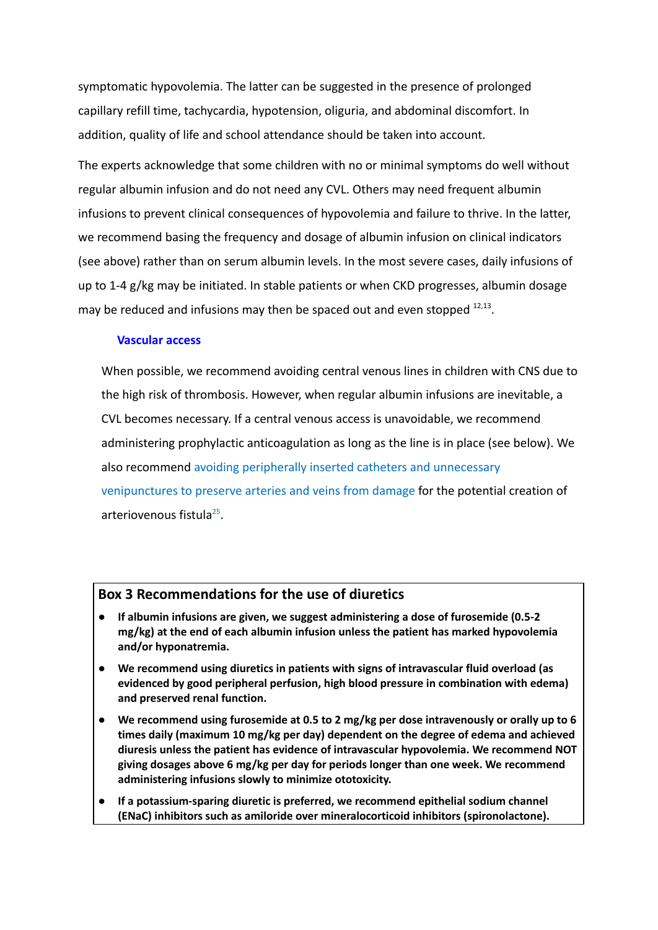symptomatic hypovolemia. The latter can be suggested in the presence of prolonged capillary refill time, tachycardia, hypotension, oliguria, and abdominal discomfort. In addition, quality of life and school attendance should be taken into account.

The experts acknowledge that some children with no or minimal symptoms do well without regular albumin infusion and do not need any CVL. Others may need frequent albumin infusions to prevent clinical consequences of hypovolemia and failure to thrive. In the latter, we recommend basing the frequency and dosage of albumin infusion on clinical indicators (see above) rather than on serum albumin levels. In the most severe cases, daily infusions of up to 1-4 g/kg may be initiated. In stable patients or when CKD progresses, albumin dosage may be reduced and infusions may then be spaced out and even stopped  $^{12,13}$ .

#### **Vascular access**

When possible, we recommend avoiding central venous lines in children with CNS due to the high risk of thrombosis. However, when regular albumin infusions are inevitable, a CVL becomes necessary. If a central venous access is unavoidable, we recommend administering prophylactic anticoagulation as long as the line is in place (see below). We also recommend avoiding peripherally inserted catheters and unnecessary venipunctures to preserve arteries and veins from damage for the potential creation of arteriovenous fistula $^{25}$ .

## **Box 3 Recommendations for the use of diuretics**

- **● If albumin infusions are given, we suggest administering a dose of furosemide (0.5-2 mg/kg) at the end of each albumin infusion unless the patient has marked hypovolemia and/or hyponatremia.**
- **● We recommend using diuretics in patients with signs of intravascular fluid overload (as evidenced by good peripheral perfusion, high blood pressure in combination with edema) and preserved renal function.**
- **● We recommend using furosemide at 0.5 to 2 mg/kg per dose intravenously or orally up to 6 times daily (maximum 10 mg/kg per day) dependent on the degree of edema and achieved diuresis unless the patient has evidence of intravascular hypovolemia. We recommend NOT giving dosages above 6 mg/kg per day for periods longer than one week. We recommend administering infusions slowly to minimize ototoxicity.**
- **● If a potassium-sparing diuretic is preferred, we recommend epithelial sodium channel (ENaC) inhibitors such as amiloride over mineralocorticoid inhibitors (spironolactone).**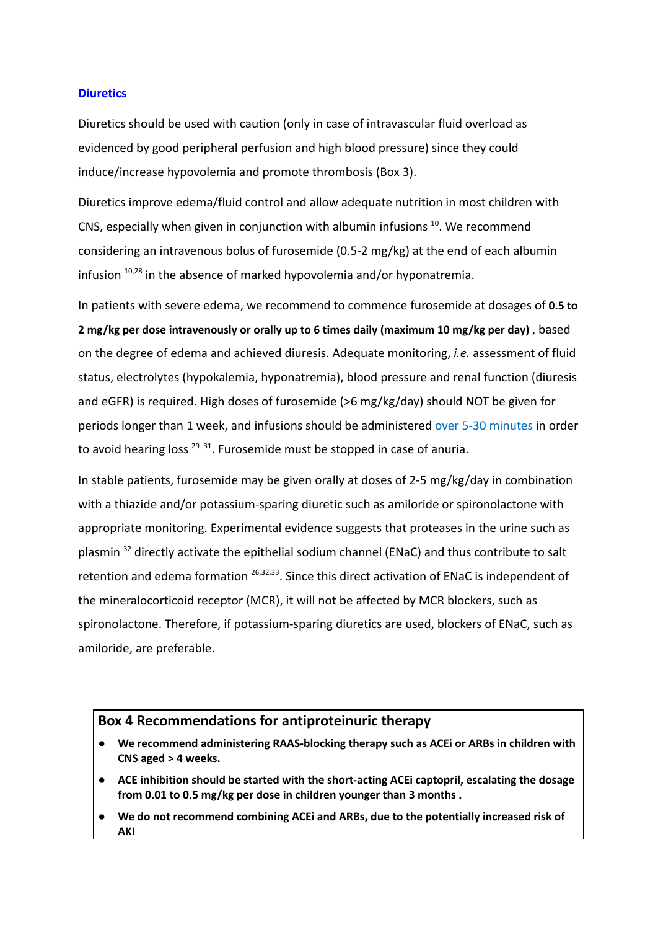## **Diuretics**

Diuretics should be used with caution (only in case of intravascular fluid overload as evidenced by good peripheral perfusion and high blood pressure) since they could induce/increase hypovolemia and promote thrombosis (Box 3).

Diuretics improve edema/fluid control and allow adequate nutrition in most children with CNS, especially when given in conjunction with albumin infusions  $^{10}$ . We recommend considering an intravenous bolus of furosemide (0.5-2 mg/kg) at the end of each albumin infusion <sup>10,28</sup> in the absence of marked hypovolemia and/or hyponatremia.

In patients with severe edema, we recommend to commence furosemide at dosages of **0.5 to 2 mg/kg per dose intravenously or orally up to 6 times daily (maximum 10 mg/kg per day)** , based on the degree of edema and achieved diuresis. Adequate monitoring, *i.e.* assessment of fluid status, electrolytes (hypokalemia, hyponatremia), blood pressure and renal function (diuresis and eGFR) is required. High doses of furosemide (>6 mg/kg/day) should NOT be given for periods longer than 1 week, and infusions should be administered over 5-30 minutes in order to avoid hearing loss  $^{29-31}$ . Furosemide must be stopped in case of anuria.

In stable patients, furosemide may be given orally at doses of 2-5 mg/kg/day in combination with a thiazide and/or potassium-sparing diuretic such as amiloride or spironolactone with appropriate monitoring. Experimental evidence suggests that proteases in the urine such as plasmin  $32$  directly activate the epithelial sodium channel (ENaC) and thus contribute to salt retention and edema formation <sup>26,32,33</sup>. Since this direct activation of ENaC is independent of the mineralocorticoid receptor (MCR), it will not be affected by MCR blockers, such as spironolactone. Therefore, if potassium-sparing diuretics are used, blockers of ENaC, such as amiloride, are preferable.

## **Box 4 Recommendations for antiproteinuric therapy**

- **● We recommend administering RAAS-blocking therapy such as ACEi or ARBs in children with CNS aged > 4 weeks.**
- **● ACE inhibition should be started with the short-acting ACEi captopril, escalating the dosage from 0.01 to 0.5 mg/kg per dose in children younger than 3 months .**
- **● We do not recommend combining ACEi and ARBs, due to the potentially increased risk of AKI**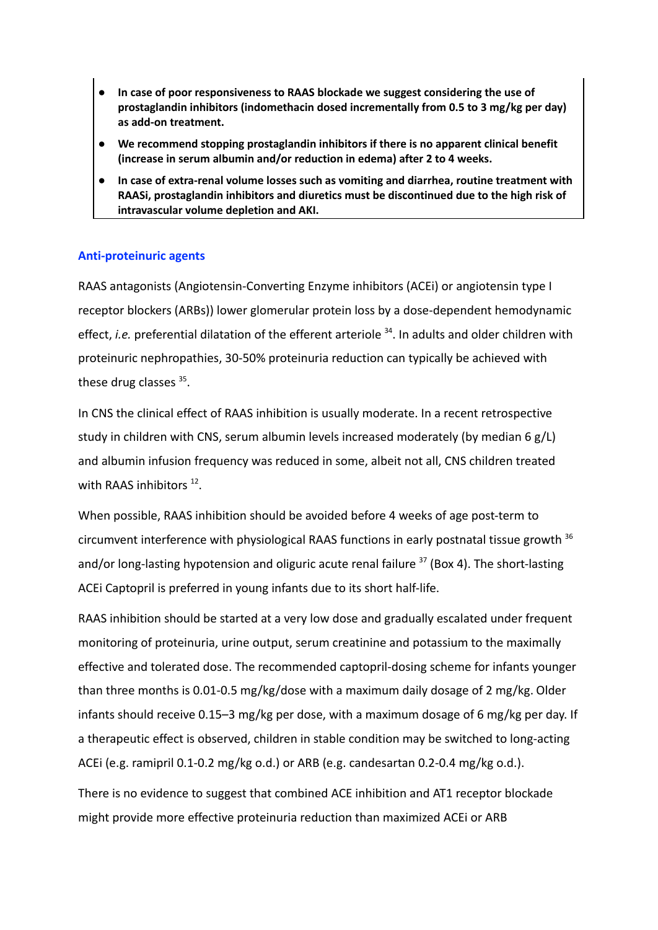- **● In case of poor responsiveness to RAAS blockade we suggest considering the use of prostaglandin inhibitors (indomethacin dosed incrementally from 0.5 to 3 mg/kg per day) as add-on treatment.**
- **We recommend stopping prostaglandin inhibitors if there is no apparent clinical benefit (increase in serum albumin and/or reduction in edema) after 2 to 4 weeks.**
- **● In case of extra-renal volume losses such as vomiting and diarrhea, routine treatment with RAASi, prostaglandin inhibitors and diuretics must be discontinued due to the high risk of intravascular volume depletion and AKI.**

## **Anti-proteinuric agents**

RAAS antagonists (Angiotensin-Converting Enzyme inhibitors (ACEi) or angiotensin type I receptor blockers (ARBs)) lower glomerular protein loss by a dose-dependent hemodynamic effect, *i.e.* preferential dilatation of the efferent arteriole <sup>34</sup>. In adults and older children with proteinuric nephropathies, 30-50% proteinuria reduction can typically be achieved with these drug classes <sup>35</sup>.

In CNS the clinical effect of RAAS inhibition is usually moderate. In a recent retrospective study in children with CNS, serum albumin levels increased moderately (by median 6 g/L) and albumin infusion frequency was reduced in some, albeit not all, CNS children treated with RAAS inhibitors<sup>12</sup>.

When possible, RAAS inhibition should be avoided before 4 weeks of age post-term to circumvent interference with physiological RAAS functions in early postnatal tissue growth  $36$ and/or long-lasting hypotension and oliguric acute renal failure <sup>37</sup> (Box 4). The short-lasting ACEi Captopril is preferred in young infants due to its short half-life.

RAAS inhibition should be started at a very low dose and gradually escalated under frequent monitoring of proteinuria, urine output, serum creatinine and potassium to the maximally effective and tolerated dose. The recommended captopril-dosing scheme for infants younger than three months is 0.01-0.5 mg/kg/dose with a maximum daily dosage of 2 mg/kg. Older infants should receive 0.15–3 mg/kg per dose, with a maximum dosage of 6 mg/kg per day. If a therapeutic effect is observed, children in stable condition may be switched to long-acting ACEi (e.g. ramipril 0.1-0.2 mg/kg o.d.) or ARB (e.g. candesartan 0.2-0.4 mg/kg o.d.).

There is no evidence to suggest that combined ACE inhibition and AT1 receptor blockade might provide more effective proteinuria reduction than maximized ACEi or ARB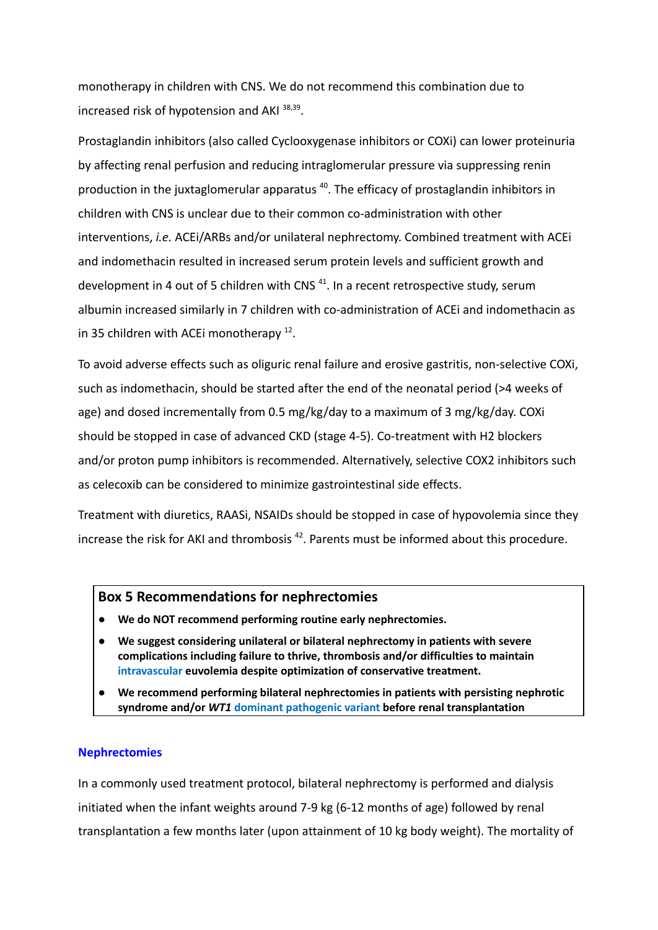monotherapy in children with CNS. We do not recommend this combination due to increased risk of hypotension and AKI <sup>38,39</sup>.

Prostaglandin inhibitors (also called Cyclooxygenase inhibitors or COXi) can lower proteinuria by affecting renal perfusion and reducing intraglomerular pressure via suppressing renin production in the juxtaglomerular apparatus <sup>40</sup>. The efficacy of prostaglandin inhibitors in children with CNS is unclear due to their common co-administration with other interventions, *i.e.* ACEi/ARBs and/or unilateral nephrectomy. Combined treatment with ACEi and indomethacin resulted in increased serum protein levels and sufficient growth and development in 4 out of 5 children with CNS<sup>41</sup>. In a recent retrospective study, serum albumin increased similarly in 7 children with co-administration of ACEi and indomethacin as in 35 children with ACEi monotherapy  $^{12}$ .

To avoid adverse effects such as oliguric renal failure and erosive gastritis, non-selective COXi, such as indomethacin, should be started after the end of the neonatal period (>4 weeks of age) and dosed incrementally from 0.5 mg/kg/day to a maximum of 3 mg/kg/day. COXi should be stopped in case of advanced CKD (stage 4-5). Co-treatment with H2 blockers and/or proton pump inhibitors is recommended. Alternatively, selective COX2 inhibitors such as celecoxib can be considered to minimize gastrointestinal side effects.

Treatment with diuretics, RAASi, NSAIDs should be stopped in case of hypovolemia since they increase the risk for AKI and thrombosis  $42$ . Parents must be informed about this procedure.

## **Box 5 Recommendations for nephrectomies**

- **● We do NOT recommend performing routine early nephrectomies.**
- **● We suggest considering unilateral or bilateral nephrectomy in patients with severe complications including failure to thrive, thrombosis and/or difficulties to maintain intravascular euvolemia despite optimization of conservative treatment.**
- **● We recommend performing bilateral nephrectomies in patients with persisting nephrotic syndrome and/or** *WT1* **dominant pathogenic variant before renal transplantation**

## **Nephrectomies**

In a commonly used treatment protocol, bilateral nephrectomy is performed and dialysis initiated when the infant weights around 7-9 kg (6-12 months of age) followed by renal transplantation a few months later (upon attainment of 10 kg body weight). The mortality of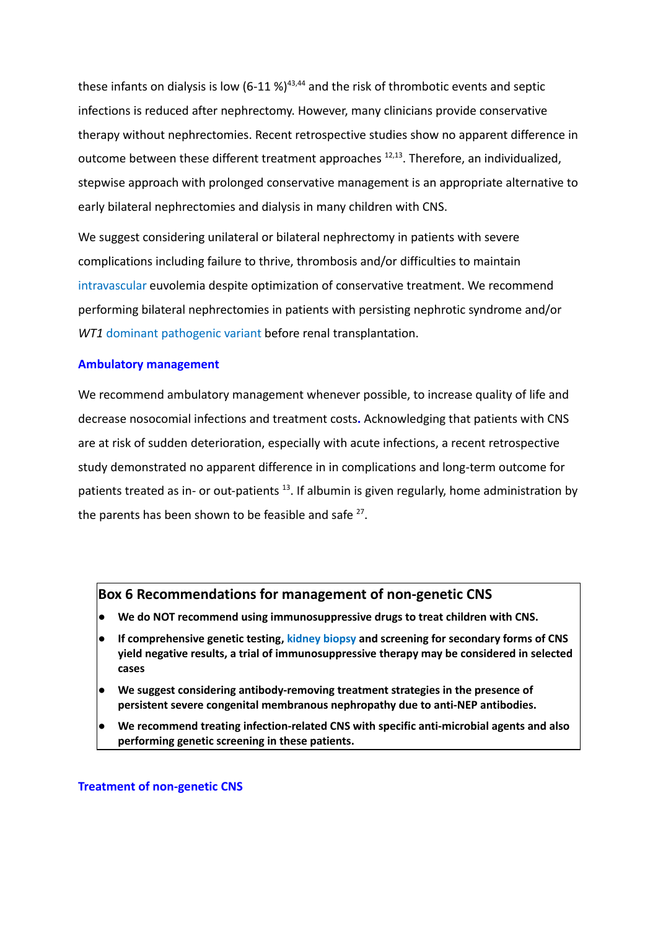these infants on dialysis is low  $(6-11\%)^{43,44}$  and the risk of thrombotic events and septic infections is reduced after nephrectomy. However, many clinicians provide conservative therapy without nephrectomies. Recent retrospective studies show no apparent difference in outcome between these different treatment approaches <sup>12,13</sup>. Therefore, an individualized, stepwise approach with prolonged conservative management is an appropriate alternative to early bilateral nephrectomies and dialysis in many children with CNS.

We suggest considering unilateral or bilateral nephrectomy in patients with severe complications including failure to thrive, thrombosis and/or difficulties to maintain intravascular euvolemia despite optimization of conservative treatment. We recommend performing bilateral nephrectomies in patients with persisting nephrotic syndrome and/or *WT1* dominant pathogenic variant before renal transplantation.

## **Ambulatory management**

We recommend ambulatory management whenever possible, to increase quality of life and decrease nosocomial infections and treatment costs**.** Acknowledging that patients with CNS are at risk of sudden deterioration, especially with acute infections, a recent retrospective study demonstrated no apparent difference in in complications and long-term outcome for patients treated as in- or out-patients <sup>13</sup>. If albumin is given regularly, home administration by the parents has been shown to be feasible and safe <sup>27</sup>.

## **Box 6 Recommendations for management of non-genetic CNS**

- **● We do NOT recommend using immunosuppressive drugs to treat children with CNS.**
- **● If comprehensive genetic testing, kidney biopsy and screening for secondary forms of CNS yield negative results, a trial of immunosuppressive therapy may be considered in selected cases**
- **● We suggest considering antibody-removing treatment strategies in the presence of persistent severe congenital membranous nephropathy due to anti-NEP antibodies.**
- **● We recommend treating infection-related CNS with specific anti-microbial agents and also performing genetic screening in these patients.**

## **Treatment of non-genetic CNS**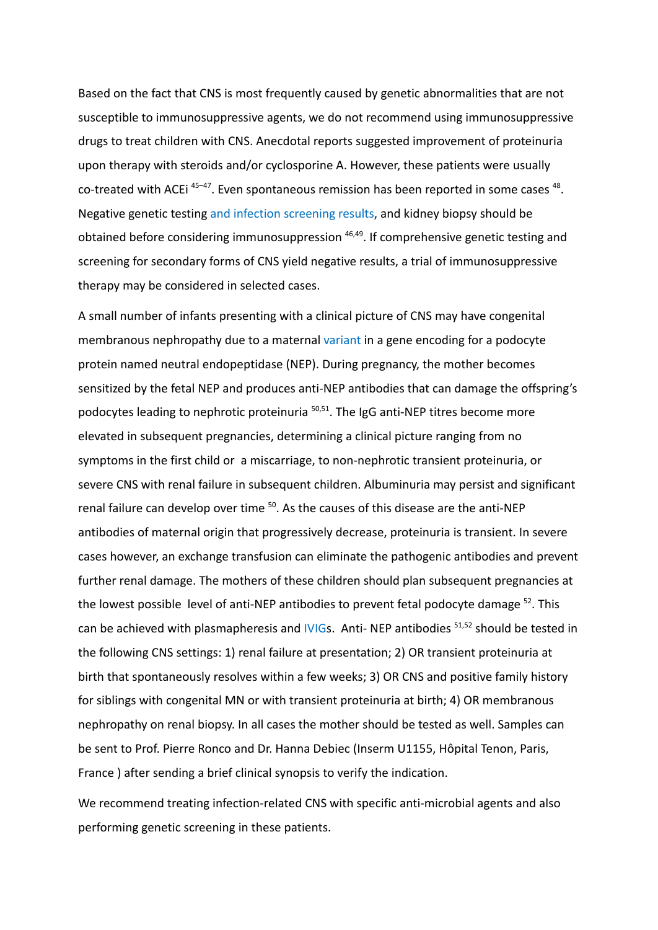Based on the fact that CNS is most frequently caused by genetic abnormalities that are not susceptible to immunosuppressive agents, we do not recommend using immunosuppressive drugs to treat children with CNS. Anecdotal reports suggested improvement of proteinuria upon therapy with steroids and/or cyclosporine A. However, these patients were usually co-treated with ACEi <sup>45–47</sup>. Even spontaneous remission has been reported in some cases <sup>48</sup>. Negative genetic testing and infection screening results, and kidney biopsy should be obtained before considering immunosuppression <sup>46,49</sup>. If comprehensive genetic testing and screening for secondary forms of CNS yield negative results, a trial of immunosuppressive therapy may be considered in selected cases.

A small number of infants presenting with a clinical picture of CNS may have congenital membranous nephropathy due to a maternal variant in a gene encoding for a podocyte protein named neutral endopeptidase (NEP). During pregnancy, the mother becomes sensitized by the fetal NEP and produces anti-NEP antibodies that can damage the offspring's podocytes leading to nephrotic proteinuria <sup>50,51</sup>. The IgG anti-NEP titres become more elevated in subsequent pregnancies, determining a clinical picture ranging from no symptoms in the first child or a miscarriage, to non-nephrotic transient proteinuria, or severe CNS with renal failure in subsequent children. Albuminuria may persist and significant renal failure can develop over time <sup>50</sup>. As the causes of this disease are the anti-NEP antibodies of maternal origin that progressively decrease, proteinuria is transient. In severe cases however, an exchange transfusion can eliminate the pathogenic antibodies and prevent further renal damage. The mothers of these children should plan subsequent pregnancies at the lowest possible level of anti-NEP antibodies to prevent fetal podocyte damage <sup>52</sup>. This can be achieved with plasmapheresis and IVIGs. Anti- NEP antibodies <sup>51,52</sup> should be tested in the following CNS settings: 1) renal failure at presentation; 2) OR transient proteinuria at birth that spontaneously resolves within a few weeks; 3) OR CNS and positive family history for siblings with congenital MN or with transient proteinuria at birth; 4) OR membranous nephropathy on renal biopsy. In all cases the mother should be tested as well. Samples can be sent to Prof. Pierre Ronco and Dr. Hanna Debiec (Inserm U1155, Hôpital Tenon, Paris, France ) after sending a brief clinical synopsis to verify the indication.

We recommend treating infection-related CNS with specific anti-microbial agents and also performing genetic screening in these patients.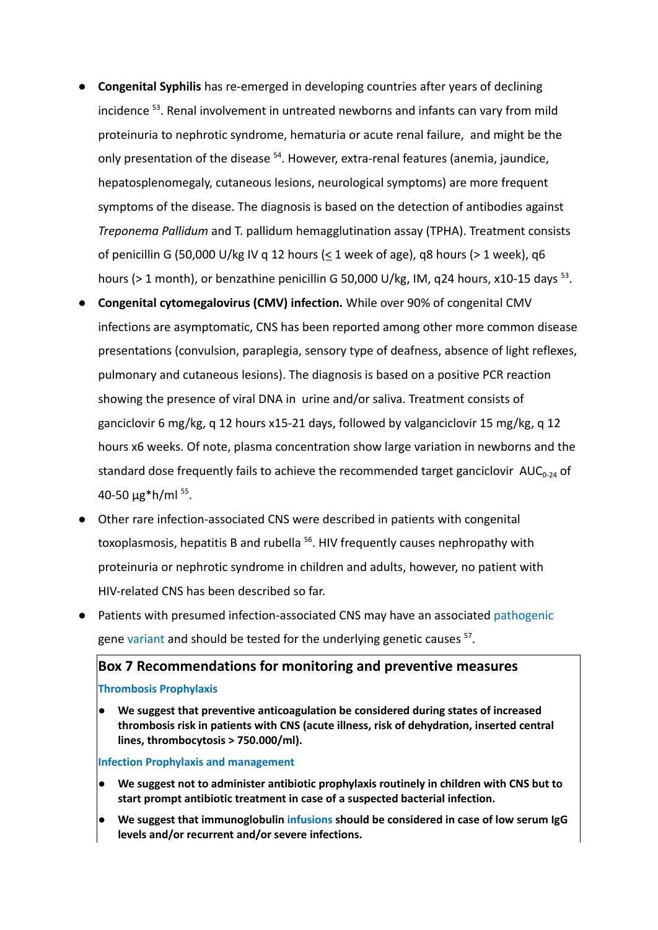- **Congenital Syphilis** has re-emerged in developing countries after years of declining incidence <sup>53</sup>. Renal involvement in untreated newborns and infants can vary from mild proteinuria to nephrotic syndrome, hematuria or acute renal failure, and might be the only presentation of the disease <sup>54</sup>. However, extra-renal features (anemia, jaundice, hepatosplenomegaly, cutaneous lesions, neurological symptoms) are more frequent symptoms of the disease. The diagnosis is based on the detection of antibodies against *Treponema Pallidum* and T. pallidum hemagglutination assay (TPHA). Treatment consists of penicillin G (50,000 U/kg IV q 12 hours ( $\leq$  1 week of age), q8 hours (> 1 week), q6 hours (> 1 month), or benzathine penicillin G 50,000 U/kg, IM, q24 hours, x10-15 days <sup>53</sup>.
- **● Congenital cytomegalovirus (CMV) infection.** While over 90% of congenital CMV infections are asymptomatic, CNS has been reported among other more common disease presentations (convulsion, paraplegia, sensory type of deafness, absence of light reflexes, pulmonary and cutaneous lesions). The diagnosis is based on a positive PCR reaction showing the presence of viral DNA in urine and/or saliva. Treatment consists of ganciclovir 6 mg/kg, q 12 hours x15-21 days, followed by valganciclovir 15 mg/kg, q 12 hours x6 weeks. Of note, plasma concentration show large variation in newborns and the standard dose frequently fails to achieve the recommended target ganciclovir  $AUC_{0.24}$  of 40-50 μg\*h/ml <sup>55</sup>.
- Other rare infection-associated CNS were described in patients with congenital toxoplasmosis, hepatitis B and rubella <sup>56</sup>. HIV frequently causes nephropathy with proteinuria or nephrotic syndrome in children and adults, however, no patient with HIV-related CNS has been described so far.
- Patients with presumed infection-associated CNS may have an associated pathogenic gene variant and should be tested for the underlying genetic causes <sup>57</sup>.

# **Box 7 Recommendations for monitoring and preventive measures Thrombosis Prophylaxis**

**● We suggest that preventive anticoagulation be considered during states of increased thrombosis risk in patients with CNS (acute illness, risk of dehydration, inserted central lines, thrombocytosis > 750.000/ml).**

**Infection Prophylaxis and management**

- **● We suggest not to administer antibiotic prophylaxis routinely in children with CNS but to start prompt antibiotic treatment in case of a suspected bacterial infection.**
- **● We suggest that immunoglobulin infusions should be considered in case of low serum IgG levels and/or recurrent and/or severe infections.**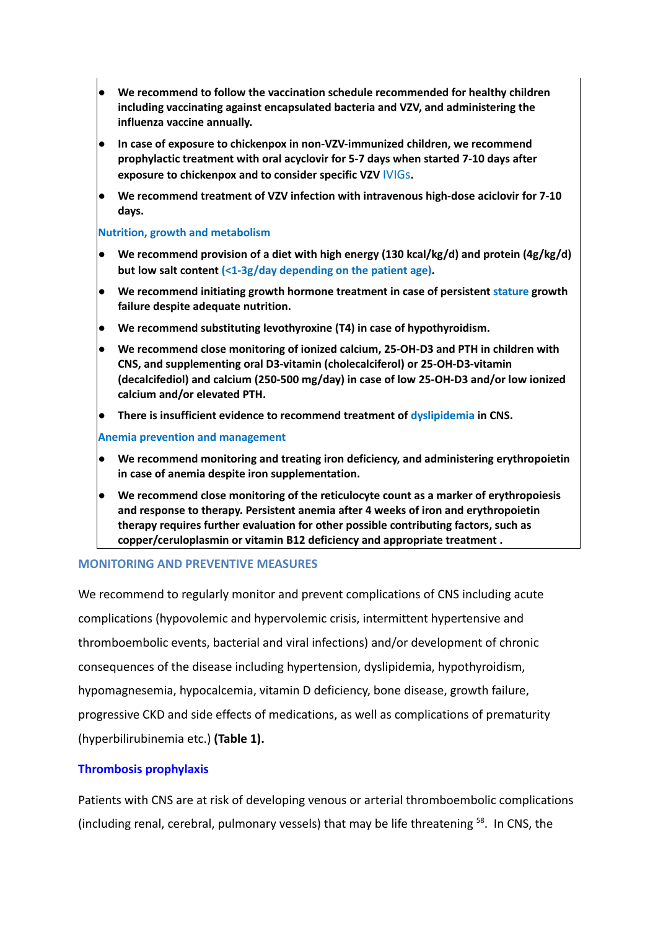- **● We recommend to follow the vaccination schedule recommended for healthy children including vaccinating against encapsulated bacteria and VZV, and administering the influenza vaccine annually.**
- **● In case of exposure to chickenpox in non-VZV-immunized children, we recommend prophylactic treatment with oral acyclovir for 5-7 days when started 7-10 days after exposure to chickenpox and to consider specific VZV** IVIGs**.**
- **● We recommend treatment of VZV infection with intravenous high-dose aciclovir for 7-10 days.**

## **Nutrition, growth and metabolism**

- **● We recommend provision of a diet with high energy (130 kcal/kg/d) and protein (4g/kg/d) but low salt content (<1-3g/day depending on the patient age).**
- **● We recommend initiating growth hormone treatment in case of persistent stature growth failure despite adequate nutrition.**
- **● We recommend substituting levothyroxine (T4) in case of hypothyroidism.**
- **● We recommend close monitoring of ionized calcium, 25-OH-D3 and PTH in children with CNS, and supplementing oral D3-vitamin (cholecalciferol) or 25-OH-D3-vitamin (decalcifediol) and calcium (250-500 mg/day) in case of low 25-OH-D3 and/or low ionized calcium and/or elevated PTH.**
- **● There is insufficient evidence to recommend treatment of dyslipidemia in CNS.**

## **Anemia prevention and management**

- **● We recommend monitoring and treating iron deficiency, and administering erythropoietin in case of anemia despite iron supplementation.**
- **● We recommend close monitoring of the reticulocyte count as a marker of erythropoiesis and response to therapy. Persistent anemia after 4 weeks of iron and erythropoietin therapy requires further evaluation for other possible contributing factors, such as copper/ceruloplasmin or vitamin B12 deficiency and appropriate treatment .**

## **MONITORING AND PREVENTIVE MEASURES**

We recommend to regularly monitor and prevent complications of CNS including acute complications (hypovolemic and hypervolemic crisis, intermittent hypertensive and thromboembolic events, bacterial and viral infections) and/or development of chronic consequences of the disease including hypertension, dyslipidemia, hypothyroidism, hypomagnesemia, hypocalcemia, vitamin D deficiency, bone disease, growth failure, progressive CKD and side effects of medications, as well as complications of prematurity (hyperbilirubinemia etc.) **(Table 1).**

## **Thrombosis prophylaxis**

Patients with CNS are at risk of developing venous or arterial thromboembolic complications (including renal, cerebral, pulmonary vessels) that may be life threatening <sup>58</sup>. In CNS, the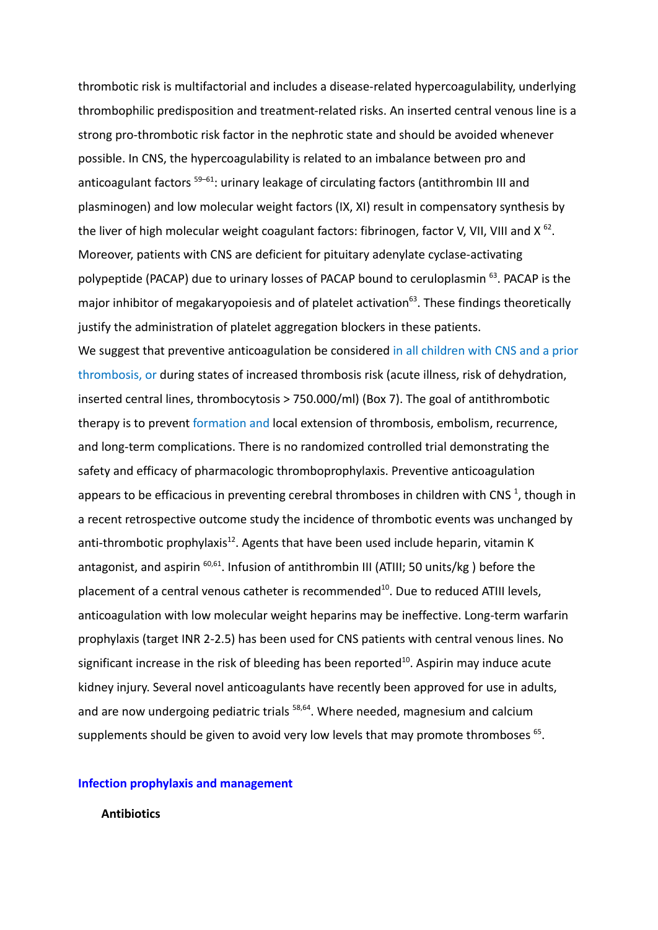thrombotic risk is multifactorial and includes a disease-related hypercoagulability, underlying thrombophilic predisposition and treatment-related risks. An inserted central venous line is a strong pro-thrombotic risk factor in the nephrotic state and should be avoided whenever possible. In CNS, the hypercoagulability is related to an imbalance between pro and anticoagulant factors <sup>59–61</sup>: urinary leakage of circulating factors (antithrombin III and plasminogen) and low molecular weight factors (IX, XI) result in compensatory synthesis by the liver of high molecular weight coagulant factors: fibrinogen, factor V, VII, VIII and X  $^{62}$ . Moreover, patients with CNS are deficient for pituitary adenylate cyclase-activating polypeptide (PACAP) due to urinary losses of PACAP bound to ceruloplasmin <sup>63</sup>. PACAP is the major inhibitor of megakaryopoiesis and of platelet activation<sup>63</sup>. These findings theoretically justify the administration of platelet aggregation blockers in these patients. We suggest that preventive anticoagulation be considered in all children with CNS and a prior thrombosis, or during states of increased thrombosis risk (acute illness, risk of dehydration, inserted central lines, thrombocytosis > 750.000/ml) (Box 7). The goal of antithrombotic therapy is to prevent formation and local extension of thrombosis, embolism, recurrence, and long-term complications. There is no randomized controlled trial demonstrating the safety and efficacy of pharmacologic thromboprophylaxis. Preventive anticoagulation appears to be efficacious in preventing cerebral thromboses in children with CNS  $^1$ , though in a recent retrospective outcome study the incidence of thrombotic events was unchanged by anti-thrombotic prophylaxis<sup>12</sup>. Agents that have been used include heparin, vitamin K antagonist, and aspirin <sup>60,61</sup>. Infusion of antithrombin III (ATIII; 50 units/kg ) before the placement of a central venous catheter is recommended<sup>10</sup>. Due to reduced ATIII levels, anticoagulation with low molecular weight heparins may be ineffective. Long-term warfarin prophylaxis (target INR 2-2.5) has been used for CNS patients with central venous lines. No significant increase in the risk of bleeding has been reported<sup>10</sup>. Aspirin may induce acute kidney injury. Several novel anticoagulants have recently been approved for use in adults, and are now undergoing pediatric trials <sup>58,64</sup>. Where needed, magnesium and calcium supplements should be given to avoid very low levels that may promote thromboses  $^{65}$ .

#### **Infection prophylaxis and management**

#### **Antibiotics**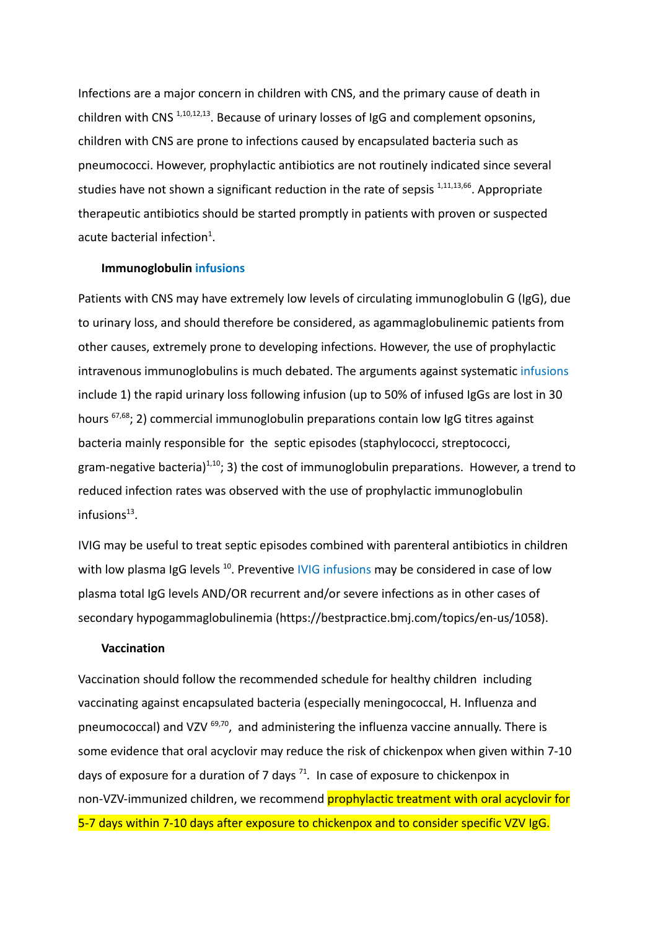Infections are a major concern in children with CNS, and the primary cause of death in children with CNS<sup>1,10,12,13</sup>. Because of urinary losses of IgG and complement opsonins, children with CNS are prone to infections caused by encapsulated bacteria such as pneumococci. However, prophylactic antibiotics are not routinely indicated since several studies have not shown a significant reduction in the rate of sepsis <sup>1,11,13,66</sup>. Appropriate therapeutic antibiotics should be started promptly in patients with proven or suspected acute bacterial infection<sup>1</sup>.

## **Immunoglobulin infusions**

Patients with CNS may have extremely low levels of circulating immunoglobulin G (IgG), due to urinary loss, and should therefore be considered, as agammaglobulinemic patients from other causes, extremely prone to developing infections. However, the use of prophylactic intravenous immunoglobulins is much debated. The arguments against systematic infusions include 1) the rapid urinary loss following infusion (up to 50% of infused IgGs are lost in 30 hours <sup>67,68</sup>; 2) commercial immunoglobulin preparations contain low IgG titres against bacteria mainly responsible for the septic episodes (staphylococci, streptococci, gram-negative bacteria)<sup>1,10</sup>; 3) the cost of immunoglobulin preparations. However, a trend to reduced infection rates was observed with the use of prophylactic immunoglobulin infusions $^{13}$ .

IVIG may be useful to treat septic episodes combined with parenteral antibiotics in children with low plasma IgG levels <sup>10</sup>. Preventive IVIG infusions may be considered in case of low plasma total IgG levels AND/OR recurrent and/or severe infections as in other cases of secondary hypogammaglobulinemia (https://bestpractice.bmj.com/topics/en-us/1058).

#### **Vaccination**

Vaccination should follow the recommended schedule for healthy children including vaccinating against encapsulated bacteria (especially meningococcal, H. Influenza and pneumococcal) and VZV <sup>69,70</sup>, and administering the influenza vaccine annually. There is some evidence that oral acyclovir may reduce the risk of chickenpox when given within 7-10 days of exposure for a duration of 7 days 71 *.* In case of exposure to chickenpox in non-VZV-immunized children, we recommend **prophylactic treatment with oral acyclovir for** 5-7 days within 7-10 days after exposure to chickenpox and to consider specific VZV IgG.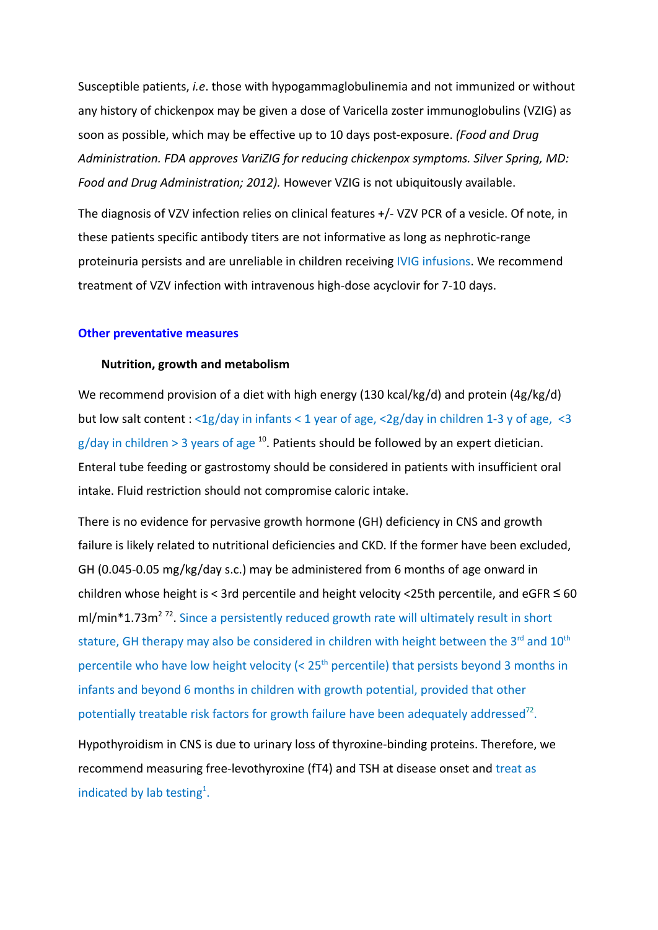Susceptible patients, *i.e*. those with hypogammaglobulinemia and not immunized or without any history of chickenpox may be given a dose of Varicella zoster immunoglobulins (VZIG) as soon as possible, which may be effective up to 10 days post-exposure. *(Food and Drug Administration. FDA approves VariZIG for reducing chickenpox symptoms. Silver Spring, MD: Food and Drug Administration; 2012).* However VZIG is not ubiquitously available.

The diagnosis of VZV infection relies on clinical features +/- VZV PCR of a vesicle. Of note, in these patients specific antibody titers are not informative as long as nephrotic-range proteinuria persists and are unreliable in children receiving IVIG infusions. We recommend treatment of VZV infection with intravenous high-dose acyclovir for 7-10 days.

#### **Other preventative measures**

#### **Nutrition, growth and metabolism**

We recommend provision of a diet with high energy (130 kcal/kg/d) and protein (4g/kg/d) but low salt content : <1g/day in infants < 1 year of age, <2g/day in children 1-3 y of age, <3  $g$ /day in children > 3 years of age  $^{10}$ . Patients should be followed by an expert dietician. Enteral tube feeding or gastrostomy should be considered in patients with insufficient oral intake. Fluid restriction should not compromise caloric intake.

There is no evidence for pervasive growth hormone (GH) deficiency in CNS and growth failure is likely related to nutritional deficiencies and CKD. If the former have been excluded, GH (0.045-0.05 mg/kg/day s.c.) may be administered from 6 months of age onward in children whose height is < 3rd percentile and height velocity <25th percentile, and eGFR  $\leq$  60 ml/min\*1.73m<sup>2 72</sup>. Since a persistently reduced growth rate will ultimately result in short stature, GH therapy may also be considered in children with height between the 3<sup>rd</sup> and  $10^{th}$ percentile who have low height velocity ( $< 25<sup>th</sup>$  percentile) that persists beyond 3 months in infants and beyond 6 months in children with growth potential, provided that other potentially treatable risk factors for growth failure have been adequately addressed<sup>72</sup>.

Hypothyroidism in CNS is due to urinary loss of thyroxine-binding proteins. Therefore, we recommend measuring free-levothyroxine (fT4) and TSH at disease onset and treat as indicated by lab testing<sup>1</sup>.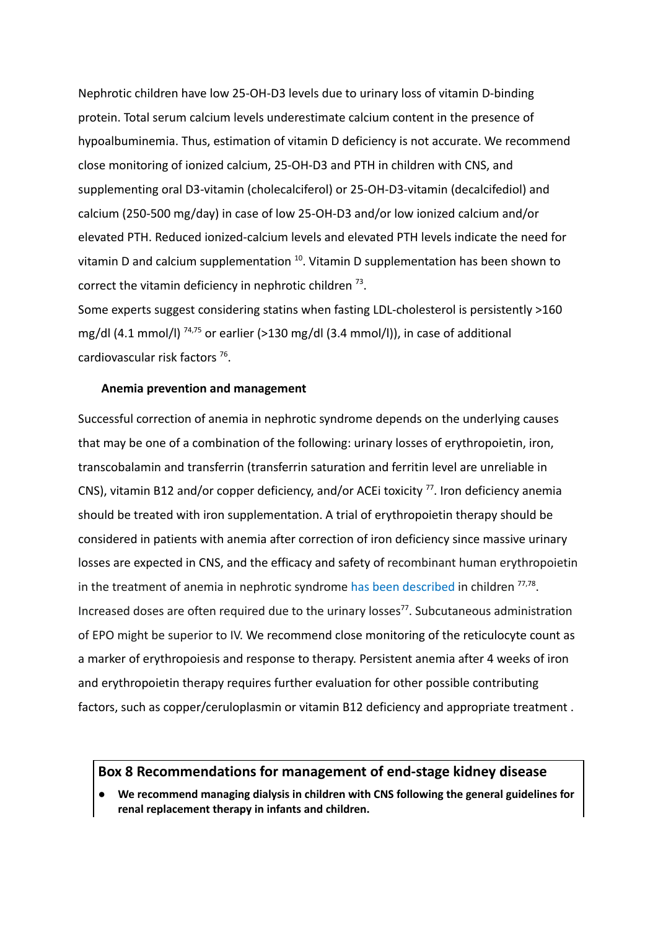Nephrotic children have low 25-OH-D3 levels due to urinary loss of vitamin D-binding protein. Total serum calcium levels underestimate calcium content in the presence of hypoalbuminemia. Thus, estimation of vitamin D deficiency is not accurate. We recommend close monitoring of ionized calcium, 25-OH-D3 and PTH in children with CNS, and supplementing oral D3-vitamin (cholecalciferol) or 25-OH-D3-vitamin (decalcifediol) and calcium (250-500 mg/day) in case of low 25-OH-D3 and/or low ionized calcium and/or elevated PTH. Reduced ionized-calcium levels and elevated PTH levels indicate the need for vitamin D and calcium supplementation  $^{10}$ . Vitamin D supplementation has been shown to correct the vitamin deficiency in nephrotic children  $^{73}$ .

Some experts suggest considering statins when fasting LDL-cholesterol is persistently >160 mg/dl (4.1 mmol/l)  $^{74,75}$  or earlier (>130 mg/dl (3.4 mmol/l)), in case of additional cardiovascular risk factors<sup>76</sup>.

## **Anemia prevention and management**

Successful correction of anemia in nephrotic syndrome depends on the underlying causes that may be one of a combination of the following: urinary losses of erythropoietin, iron, transcobalamin and transferrin (transferrin saturation and ferritin level are unreliable in CNS), vitamin B12 and/or copper deficiency, and/or ACEi toxicity  $77$ . Iron deficiency anemia should be treated with iron supplementation. A trial of erythropoietin therapy should be considered in patients with anemia after correction of iron deficiency since massive urinary losses are expected in CNS, and the efficacy and safety of recombinant human erythropoietin in the treatment of anemia in nephrotic syndrome has been described in children  $^{77,78}$ . Increased doses are often required due to the urinary losses<sup>77</sup>. Subcutaneous administration of EPO might be superior to IV. We recommend close monitoring of the reticulocyte count as a marker of erythropoiesis and response to therapy. Persistent anemia after 4 weeks of iron and erythropoietin therapy requires further evaluation for other possible contributing factors, such as copper/ceruloplasmin or vitamin B12 deficiency and appropriate treatment .

## **Box 8 Recommendations for management of end-stage kidney disease**

**● We recommend managing dialysis in children with CNS following the general guidelines for renal replacement therapy in infants and children.**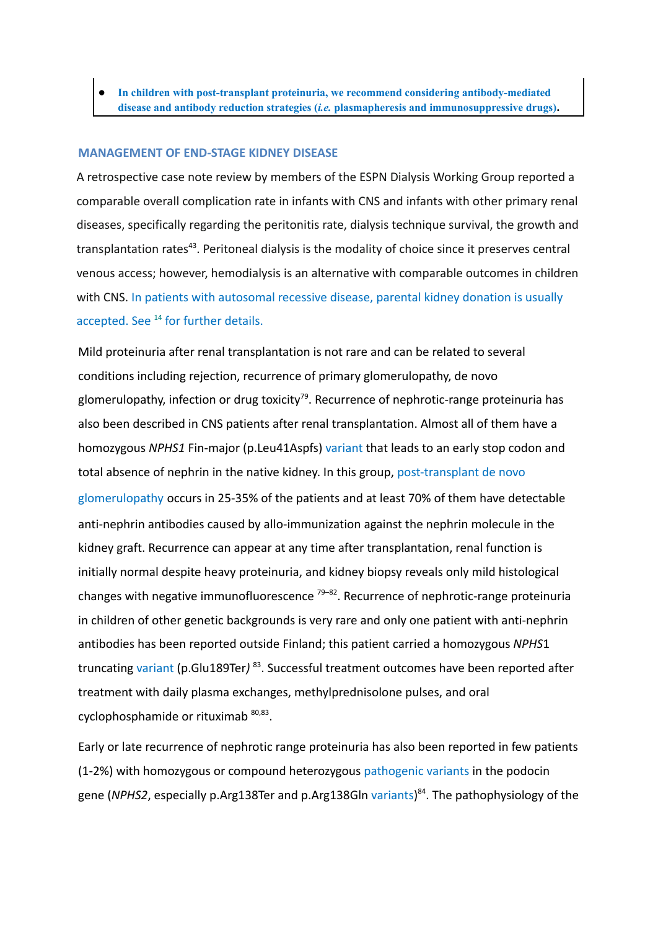**● In children with post-transplant proteinuria, we recommend considering antibody-mediated disease and antibody reduction strategies (***i.e.* **plasmapheresis and immunosuppressive drugs).**

#### **MANAGEMENT OF END-STAGE KIDNEY DISEASE**

A retrospective case note review by members of the ESPN Dialysis Working Group reported a comparable overall complication rate in infants with CNS and infants with other primary renal diseases, specifically regarding the peritonitis rate, dialysis technique survival, the growth and transplantation rates<sup>43</sup>. Peritoneal dialysis is the modality of choice since it preserves central venous access; however, hemodialysis is an alternative with comparable outcomes in children with CNS. In patients with autosomal recessive disease, parental kidney donation is usually accepted. See <sup>14</sup> for further details.

Mild proteinuria after renal transplantation is not rare and can be related to several conditions including rejection, recurrence of primary glomerulopathy, de novo glomerulopathy, infection or drug toxicity<sup>79</sup>. Recurrence of nephrotic-range proteinuria has also been described in CNS patients after renal transplantation. Almost all of them have a homozygous *NPHS1* Fin-major (p.Leu41Aspfs) variant that leads to an early stop codon and total absence of nephrin in the native kidney. In this group, post-transplant de novo glomerulopathy occurs in 25-35% of the patients and at least 70% of them have detectable anti-nephrin antibodies caused by allo-immunization against the nephrin molecule in the kidney graft. Recurrence can appear at any time after transplantation, renal function is initially normal despite heavy proteinuria, and kidney biopsy reveals only mild histological changes with negative immunofluorescence <sup>79–82</sup>. Recurrence of nephrotic-range proteinuria in children of other genetic backgrounds is very rare and only one patient with anti-nephrin antibodies has been reported outside Finland; this patient carried a homozygous *NPHS*1 truncating variant (p.Glu189Ter) <sup>83</sup>. Successful treatment outcomes have been reported after treatment with daily plasma exchanges, methylprednisolone pulses, and oral cyclophosphamide or rituximab  $80,83$ .

Early or late recurrence of nephrotic range proteinuria has also been reported in few patients (1-2%) with homozygous or compound heterozygous pathogenic variants in the podocin gene (NPHS2, especially p.Arg138Ter and p.Arg138Gln variants)<sup>84</sup>. The pathophysiology of the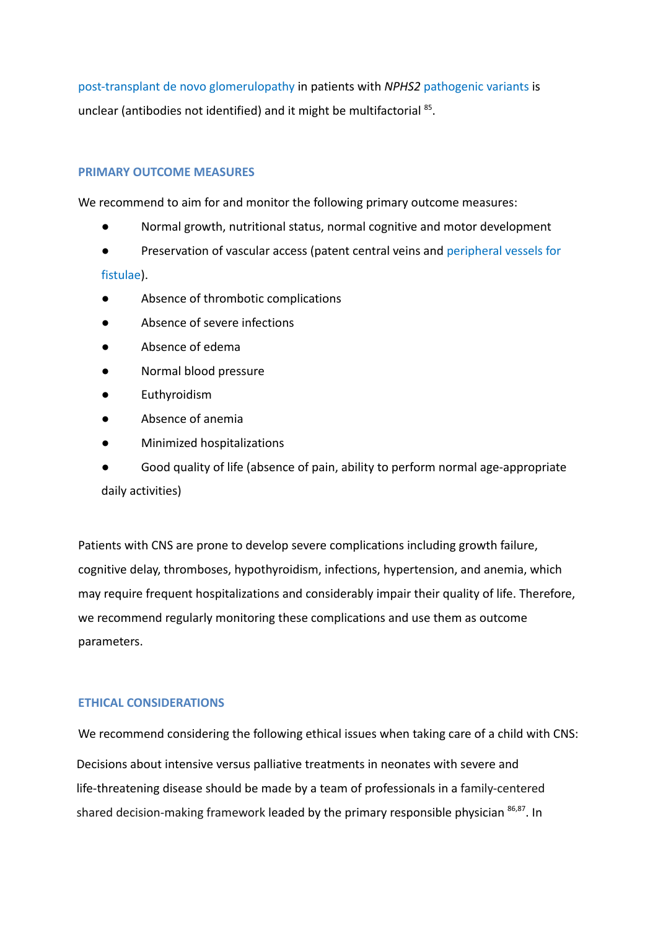post-transplant de novo glomerulopathy in patients with *NPHS2* pathogenic variants is unclear (antibodies not identified) and it might be multifactorial <sup>85</sup>.

## **PRIMARY OUTCOME MEASURES**

We recommend to aim for and monitor the following primary outcome measures:

- Normal growth, nutritional status, normal cognitive and motor development
- Preservation of vascular access (patent central veins and peripheral vessels for fistulae).
- Absence of thrombotic complications
- Absence of severe infections
- Absence of edema
- Normal blood pressure
- Euthyroidism
- Absence of anemia
- Minimized hospitalizations
- Good quality of life (absence of pain, ability to perform normal age-appropriate daily activities)

Patients with CNS are prone to develop severe complications including growth failure, cognitive delay, thromboses, hypothyroidism, infections, hypertension, and anemia, which may require frequent hospitalizations and considerably impair their quality of life. Therefore, we recommend regularly monitoring these complications and use them as outcome parameters.

## **ETHICAL CONSIDERATIONS**

We recommend considering the following ethical issues when taking care of a child with CNS: Decisions about intensive versus palliative treatments in neonates with severe and life-threatening disease should be made by a team of professionals in a family-centered shared decision-making framework leaded by the primary responsible physician <sup>86,87</sup>. In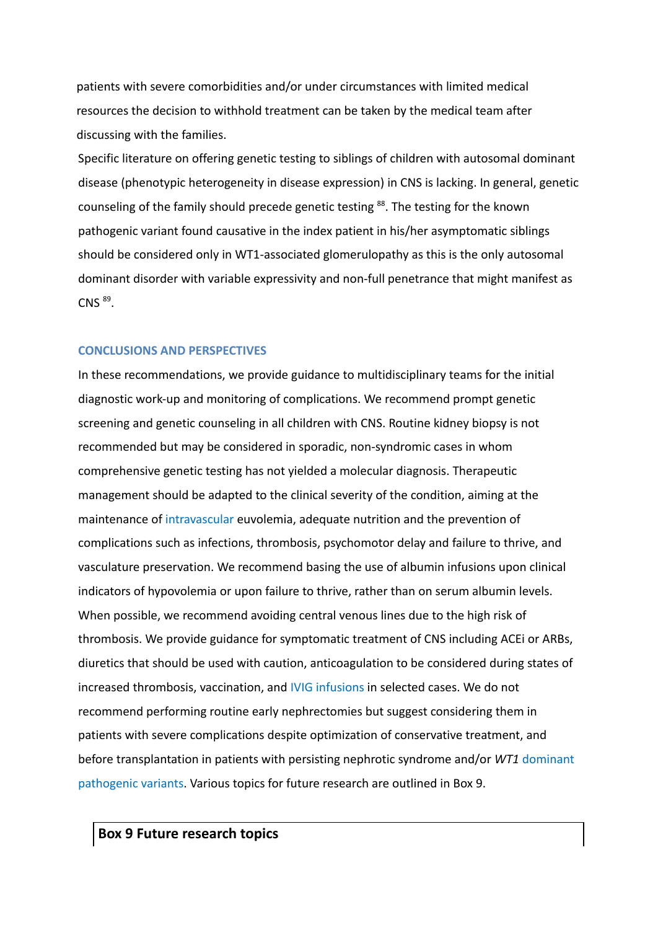patients with severe comorbidities and/or under circumstances with limited medical resources the decision to withhold treatment can be taken by the medical team after discussing with the families.

Specific literature on offering genetic testing to siblings of children with autosomal dominant disease (phenotypic heterogeneity in disease expression) in CNS is lacking. In general, genetic counseling of the family should precede genetic testing <sup>88</sup>. The testing for the known pathogenic variant found causative in the index patient in his/her asymptomatic siblings should be considered only in WT1-associated glomerulopathy as this is the only autosomal dominant disorder with variable expressivity and non-full penetrance that might manifest as CNS  $^{89}$ .

## **CONCLUSIONS AND PERSPECTIVES**

In these recommendations, we provide guidance to multidisciplinary teams for the initial diagnostic work-up and monitoring of complications. We recommend prompt genetic screening and genetic counseling in all children with CNS. Routine kidney biopsy is not recommended but may be considered in sporadic, non-syndromic cases in whom comprehensive genetic testing has not yielded a molecular diagnosis. Therapeutic management should be adapted to the clinical severity of the condition, aiming at the maintenance of intravascular euvolemia, adequate nutrition and the prevention of complications such as infections, thrombosis, psychomotor delay and failure to thrive, and vasculature preservation. We recommend basing the use of albumin infusions upon clinical indicators of hypovolemia or upon failure to thrive, rather than on serum albumin levels. When possible, we recommend avoiding central venous lines due to the high risk of thrombosis. We provide guidance for symptomatic treatment of CNS including ACEi or ARBs, diuretics that should be used with caution, anticoagulation to be considered during states of increased thrombosis, vaccination, and IVIG infusions in selected cases. We do not recommend performing routine early nephrectomies but suggest considering them in patients with severe complications despite optimization of conservative treatment, and before transplantation in patients with persisting nephrotic syndrome and/or *WT1* dominant pathogenic variants. Various topics for future research are outlined in Box 9.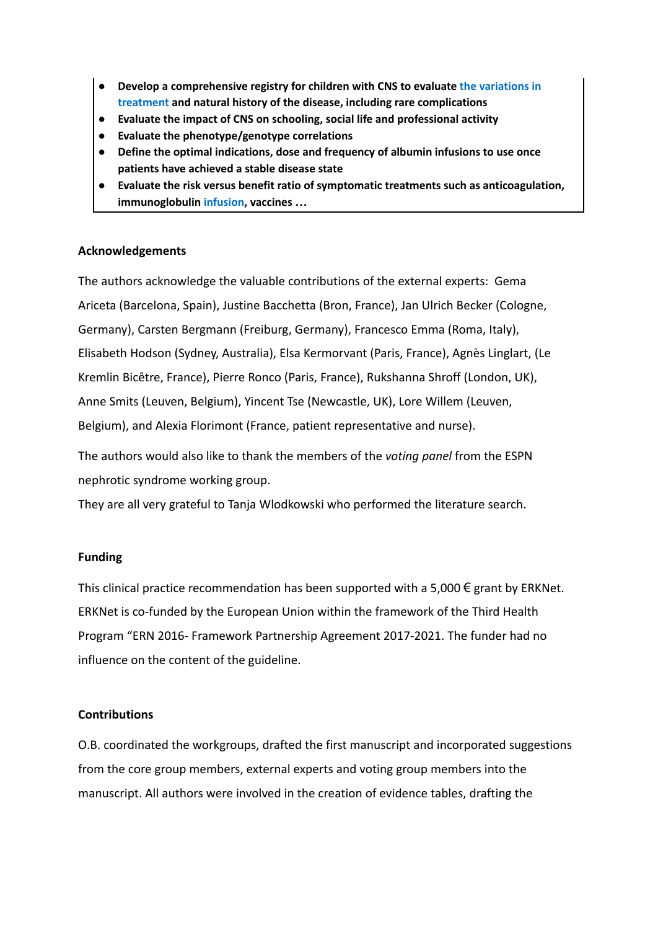- **● Develop a comprehensive registry for children with CNS to evaluate the variations in treatment and natural history of the disease, including rare complications**
- **● Evaluate the impact of CNS on schooling, social life and professional activity**
- **● Evaluate the phenotype/genotype correlations**
- **● Define the optimal indications, dose and frequency of albumin infusions to use once patients have achieved a stable disease state**
- **● Evaluate the risk versus benefit ratio of symptomatic treatments such as anticoagulation, immunoglobulin infusion, vaccines …**

## **Acknowledgements**

The authors acknowledge the valuable contributions of the external experts: Gema Ariceta (Barcelona, Spain), Justine Bacchetta (Bron, France), Jan Ulrich Becker (Cologne, Germany), Carsten Bergmann (Freiburg, Germany), Francesco Emma (Roma, Italy), Elisabeth Hodson (Sydney, Australia), Elsa Kermorvant (Paris, France), Agnès Linglart, (Le Kremlin Bicêtre, France), Pierre Ronco (Paris, France), Rukshanna Shroff (London, UK), Anne Smits (Leuven, Belgium), Yincent Tse (Newcastle, UK), Lore Willem (Leuven, Belgium), and Alexia Florimont (France, patient representative and nurse).

The authors would also like to thank the members of the *voting panel* from the ESPN nephrotic syndrome working group.

They are all very grateful to Tanja Wlodkowski who performed the literature search.

## **Funding**

This clinical practice recommendation has been supported with a 5,000  $\epsilon$  grant by ERKNet. ERKNet is co-funded by the European Union within the framework of the Third Health Program "ERN 2016- Framework Partnership Agreement 2017-2021. The funder had no influence on the content of the guideline.

## **Contributions**

O.B. coordinated the workgroups, drafted the first manuscript and incorporated suggestions from the core group members, external experts and voting group members into the manuscript. All authors were involved in the creation of evidence tables, drafting the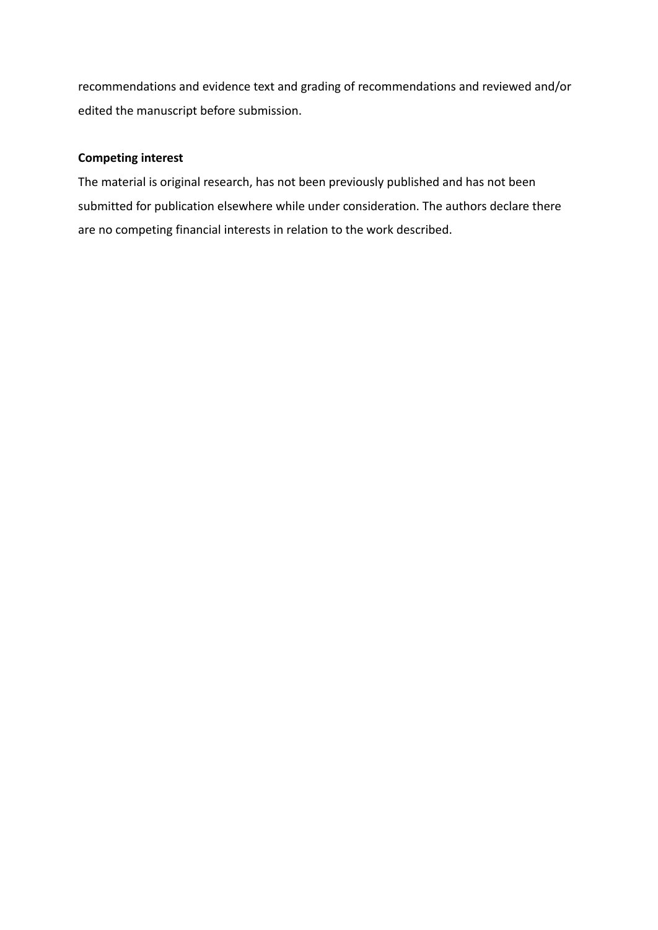recommendations and evidence text and grading of recommendations and reviewed and/or edited the manuscript before submission.

## **Competing interest**

The material is original research, has not been previously published and has not been submitted for publication elsewhere while under consideration. The authors declare there are no competing financial interests in relation to the work described.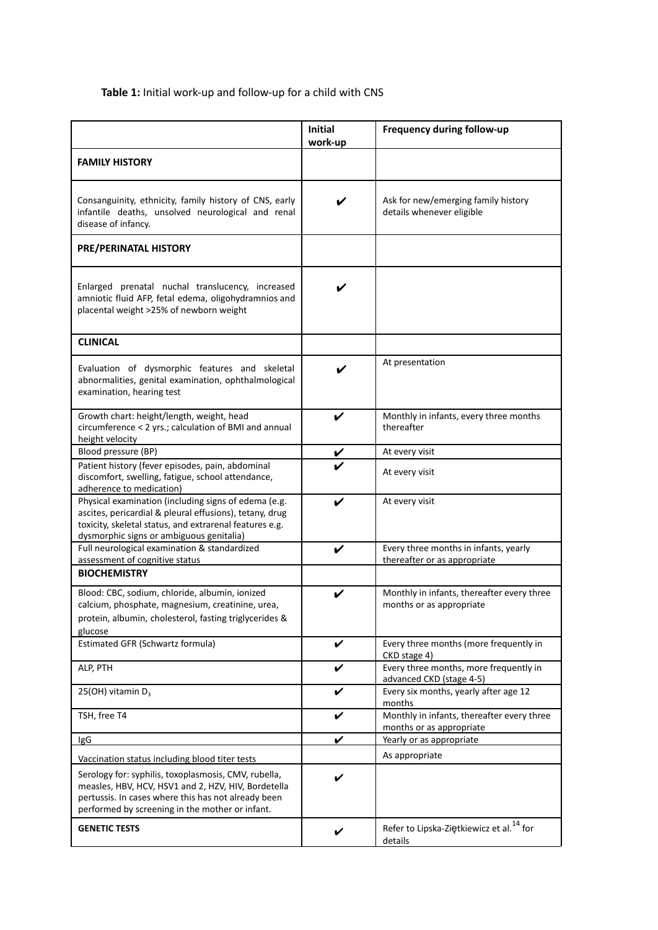## **Table 1:** Initial work-up and follow-up for a child with CNS

|                                                                                                                                                                                                                        | <b>Initial</b><br>work-up | Frequency during follow-up                                             |
|------------------------------------------------------------------------------------------------------------------------------------------------------------------------------------------------------------------------|---------------------------|------------------------------------------------------------------------|
| <b>FAMILY HISTORY</b>                                                                                                                                                                                                  |                           |                                                                        |
| Consanguinity, ethnicity, family history of CNS, early<br>infantile deaths, unsolved neurological and renal<br>disease of infancy.                                                                                     | V                         | Ask for new/emerging family history<br>details whenever eligible       |
| PRE/PERINATAL HISTORY                                                                                                                                                                                                  |                           |                                                                        |
| Enlarged prenatal nuchal translucency, increased<br>amniotic fluid AFP, fetal edema, oligohydramnios and<br>placental weight >25% of newborn weight                                                                    | ✔                         |                                                                        |
| <b>CLINICAL</b>                                                                                                                                                                                                        |                           |                                                                        |
| Evaluation of dysmorphic features and skeletal<br>abnormalities, genital examination, ophthalmological<br>examination, hearing test                                                                                    |                           | At presentation                                                        |
| Growth chart: height/length, weight, head<br>circumference < 2 yrs.; calculation of BMI and annual<br>height velocity                                                                                                  | V                         | Monthly in infants, every three months<br>thereafter                   |
| Blood pressure (BP)                                                                                                                                                                                                    |                           | At every visit                                                         |
| Patient history (fever episodes, pain, abdominal<br>discomfort, swelling, fatigue, school attendance,<br>adherence to medication)                                                                                      |                           | At every visit                                                         |
| Physical examination (including signs of edema (e.g.<br>ascites, pericardial & pleural effusions), tetany, drug<br>toxicity, skeletal status, and extrarenal features e.g.<br>dysmorphic signs or ambiguous genitalia) |                           | At every visit                                                         |
| Full neurological examination & standardized<br>assessment of cognitive status                                                                                                                                         |                           | Every three months in infants, yearly<br>thereafter or as appropriate  |
| <b>BIOCHEMISTRY</b>                                                                                                                                                                                                    |                           |                                                                        |
| Blood: CBC, sodium, chloride, albumin, ionized<br>calcium, phosphate, magnesium, creatinine, urea,<br>protein, albumin, cholesterol, fasting triglycerides &<br>glucose                                                |                           | Monthly in infants, thereafter every three<br>months or as appropriate |
| Estimated GFR (Schwartz formula)                                                                                                                                                                                       | V                         | Every three months (more frequently in<br>CKD stage 4)                 |
| ALP, PTH                                                                                                                                                                                                               | ✔                         | Every three months, more frequently in<br>advanced CKD (stage 4-5)     |
| 25(OH) vitamin $D_3$                                                                                                                                                                                                   | V                         | Every six months, yearly after age 12<br>months                        |
| TSH, free T4                                                                                                                                                                                                           | V                         | Monthly in infants, thereafter every three<br>months or as appropriate |
| IgG                                                                                                                                                                                                                    | V                         | Yearly or as appropriate                                               |
| Vaccination status including blood titer tests                                                                                                                                                                         |                           | As appropriate                                                         |
| Serology for: syphilis, toxoplasmosis, CMV, rubella,<br>measles, HBV, HCV, HSV1 and 2, HZV, HIV, Bordetella<br>pertussis. In cases where this has not already been<br>performed by screening in the mother or infant.  | V                         |                                                                        |
| <b>GENETIC TESTS</b>                                                                                                                                                                                                   | V                         | Refer to Lipska-Ziętkiewicz et al. <sup>14</sup> for<br>details        |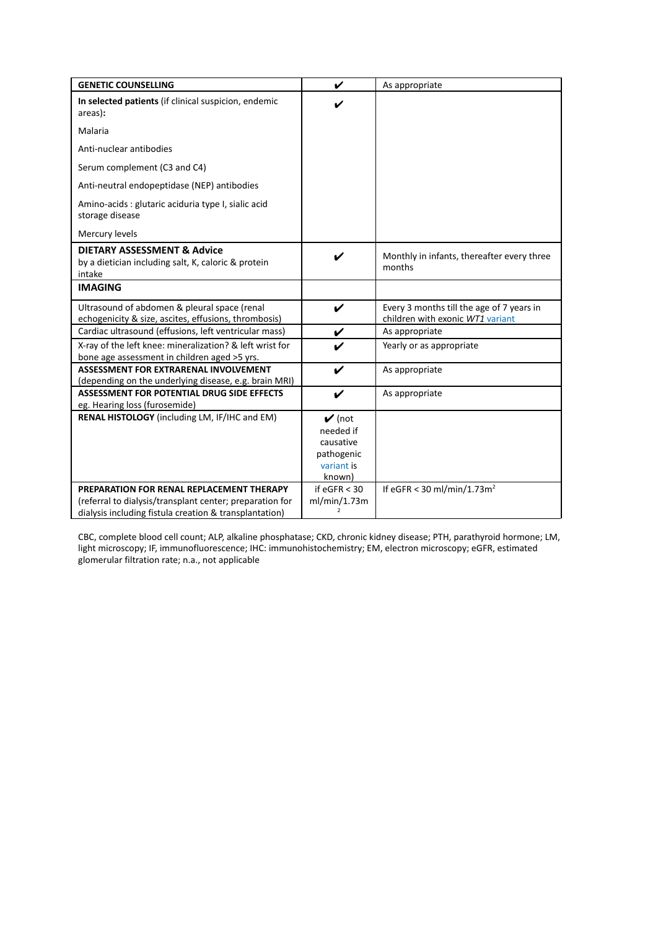| <b>GENETIC COUNSELLING</b>                                                                                                                                      | V                                                                                 | As appropriate                                                                |
|-----------------------------------------------------------------------------------------------------------------------------------------------------------------|-----------------------------------------------------------------------------------|-------------------------------------------------------------------------------|
| In selected patients (if clinical suspicion, endemic<br>areas):                                                                                                 | ✔                                                                                 |                                                                               |
| Malaria                                                                                                                                                         |                                                                                   |                                                                               |
| Anti-nuclear antibodies                                                                                                                                         |                                                                                   |                                                                               |
| Serum complement (C3 and C4)                                                                                                                                    |                                                                                   |                                                                               |
| Anti-neutral endopeptidase (NEP) antibodies                                                                                                                     |                                                                                   |                                                                               |
| Amino-acids : glutaric aciduria type I, sialic acid<br>storage disease                                                                                          |                                                                                   |                                                                               |
| Mercury levels                                                                                                                                                  |                                                                                   |                                                                               |
| <b>DIETARY ASSESSMENT &amp; Advice</b><br>by a dietician including salt, K, caloric & protein<br>intake                                                         | V                                                                                 | Monthly in infants, thereafter every three<br>months                          |
| <b>IMAGING</b>                                                                                                                                                  |                                                                                   |                                                                               |
| Ultrasound of abdomen & pleural space (renal<br>echogenicity & size, ascites, effusions, thrombosis)                                                            | V                                                                                 | Every 3 months till the age of 7 years in<br>children with exonic WT1 variant |
| Cardiac ultrasound (effusions, left ventricular mass)                                                                                                           | V                                                                                 | As appropriate                                                                |
| X-ray of the left knee: mineralization? & left wrist for<br>bone age assessment in children aged >5 yrs.                                                        | V                                                                                 | Yearly or as appropriate                                                      |
| ASSESSMENT FOR EXTRARENAL INVOLVEMENT<br>(depending on the underlying disease, e.g. brain MRI)                                                                  | $\boldsymbol{\nu}$                                                                | As appropriate                                                                |
| <b>ASSESSMENT FOR POTENTIAL DRUG SIDE EFFECTS</b><br>eg. Hearing loss (furosemide)                                                                              | V                                                                                 | As appropriate                                                                |
| RENAL HISTOLOGY (including LM, IF/IHC and EM)                                                                                                                   | $\mathbf{v}$ (not<br>needed if<br>causative<br>pathogenic<br>variant is<br>known) |                                                                               |
| PREPARATION FOR RENAL REPLACEMENT THERAPY<br>(referral to dialysis/transplant center; preparation for<br>dialysis including fistula creation & transplantation) | if $eGFR < 30$<br>ml/min/1.73m<br>$\overline{2}$                                  | If eGFR < 30 ml/min/1.73 $m2$                                                 |

CBC, complete blood cell count; ALP, alkaline phosphatase; CKD, chronic kidney disease; PTH, parathyroid hormone; LM, light microscopy; IF, immunofluorescence; IHC: immunohistochemistry; EM, electron microscopy; eGFR, estimated glomerular filtration rate; n.a., not applicable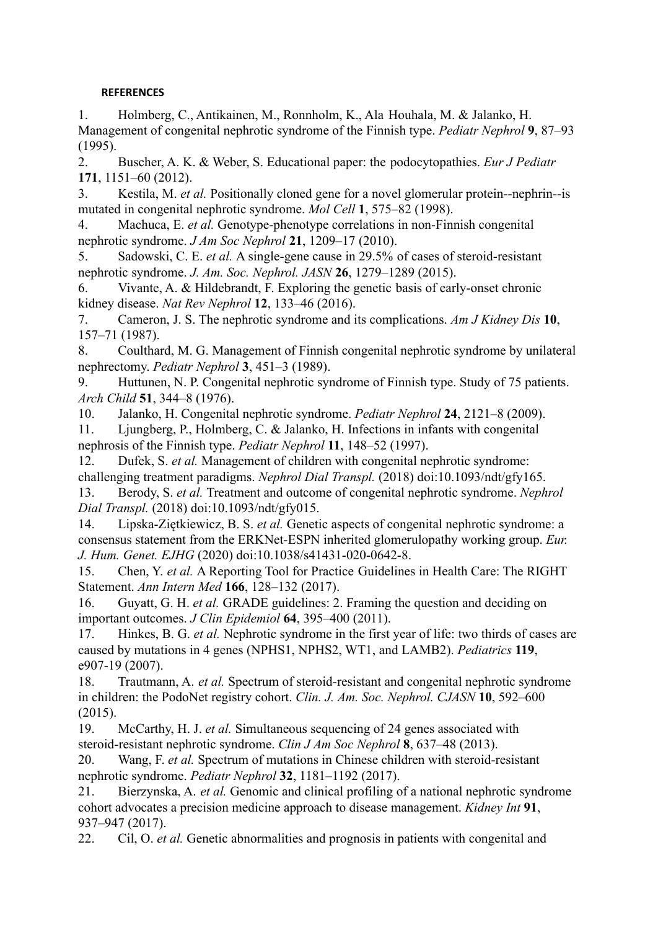## **REFERENCES**

1. Holmberg, C., Antikainen, M., Ronnholm, K., Ala Houhala, M. & Jalanko, H. Management of congenital nephrotic syndrome of the Finnish type. *Pediatr Nephrol* **9**, 87–93 (1995).

2. Buscher, A. K. & Weber, S. Educational paper: the podocytopathies. *Eur J Pediatr* **171**, 1151–60 (2012).

3. Kestila, M. *et al.* Positionally cloned gene for a novel glomerular protein--nephrin--is mutated in congenital nephrotic syndrome. *Mol Cell* **1**, 575–82 (1998).

4. Machuca, E. *et al.* Genotype-phenotype correlations in non-Finnish congenital nephrotic syndrome. *J Am Soc Nephrol* **21**, 1209–17 (2010).

5. Sadowski, C. E. *et al.* A single-gene cause in 29.5% of cases of steroid-resistant nephrotic syndrome. *J. Am. Soc. Nephrol. JASN* **26**, 1279–1289 (2015).

6. Vivante, A. & Hildebrandt, F. Exploring the genetic basis of early-onset chronic kidney disease. *Nat Rev Nephrol* **12**, 133–46 (2016).

7. Cameron, J. S. The nephrotic syndrome and its complications. *Am J Kidney Dis* **10**, 157–71 (1987).

8. Coulthard, M. G. Management of Finnish congenital nephrotic syndrome by unilateral nephrectomy. *Pediatr Nephrol* **3**, 451–3 (1989).

9. Huttunen, N. P. Congenital nephrotic syndrome of Finnish type. Study of 75 patients. *Arch Child* **51**, 344–8 (1976).

10. Jalanko, H. Congenital nephrotic syndrome. *Pediatr Nephrol* **24**, 2121–8 (2009).

11. Ljungberg, P., Holmberg, C. & Jalanko, H. Infections in infants with congenital nephrosis of the Finnish type. *Pediatr Nephrol* **11**, 148–52 (1997).

12. Dufek, S. *et al.* Management of children with congenital nephrotic syndrome: challenging treatment paradigms. *Nephrol Dial Transpl.* (2018) doi:10.1093/ndt/gfy165.

13. Berody, S. *et al.* Treatment and outcome of congenital nephrotic syndrome. *Nephrol Dial Transpl.* (2018) doi:10.1093/ndt/gfy015.

14. Lipska-Ziętkiewicz, B. S. *et al.* Genetic aspects of congenital nephrotic syndrome: a consensus statement from the ERKNet-ESPN inherited glomerulopathy working group. *Eur. J. Hum. Genet. EJHG* (2020) doi:10.1038/s41431-020-0642-8.

15. Chen, Y. *et al.* A Reporting Tool for Practice Guidelines in Health Care: The RIGHT Statement. *Ann Intern Med* **166**, 128–132 (2017).

16. Guyatt, G. H. *et al.* GRADE guidelines: 2. Framing the question and deciding on important outcomes. *J Clin Epidemiol* **64**, 395–400 (2011).

17. Hinkes, B. G. *et al.* Nephrotic syndrome in the first year of life: two thirds of cases are caused by mutations in 4 genes (NPHS1, NPHS2, WT1, and LAMB2). *Pediatrics* **119**, e907-19 (2007).

18. Trautmann, A. *et al.* Spectrum of steroid-resistant and congenital nephrotic syndrome in children: the PodoNet registry cohort. *Clin. J. Am. Soc. Nephrol. CJASN* **10**, 592–600 (2015).

19. McCarthy, H. J. *et al.* Simultaneous sequencing of 24 genes associated with steroid-resistant nephrotic syndrome. *Clin J Am Soc Nephrol* **8**, 637–48 (2013).

20. Wang, F. *et al.* Spectrum of mutations in Chinese children with steroid-resistant nephrotic syndrome. *Pediatr Nephrol* **32**, 1181–1192 (2017).

21. Bierzynska, A. *et al.* Genomic and clinical profiling of a national nephrotic syndrome cohort advocates a precision medicine approach to disease management. *Kidney Int* **91**, 937–947 (2017).

22. Cil, O. *et al.* Genetic abnormalities and prognosis in patients with congenital and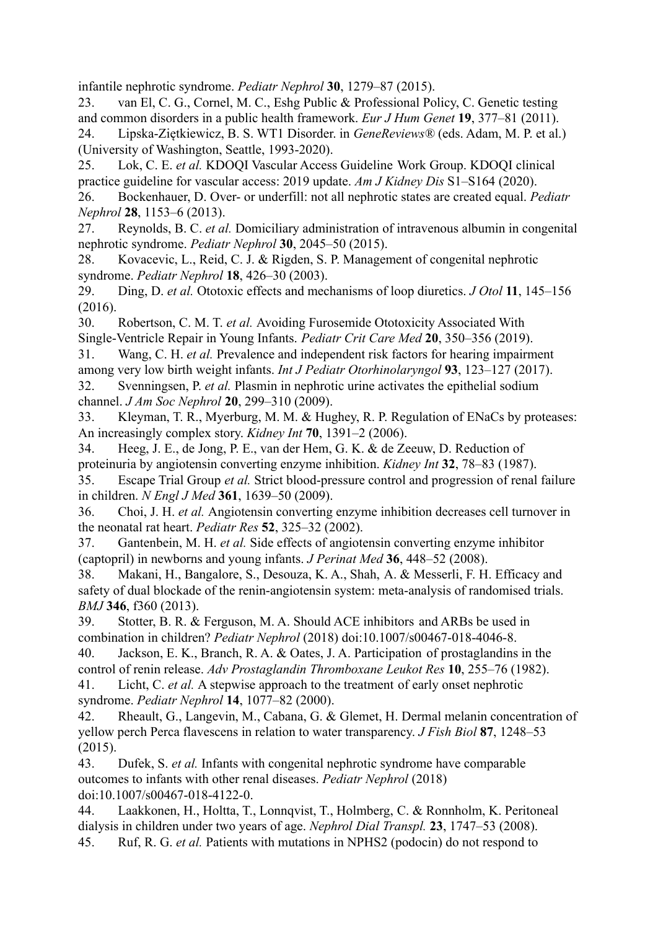infantile nephrotic syndrome. *Pediatr Nephrol* **30**, 1279–87 (2015).

23. van El, C. G., Cornel, M. C., Eshg Public & Professional Policy, C. Genetic testing and common disorders in a public health framework. *Eur J Hum Genet* **19**, 377–81 (2011). 24. Lipska-Ziętkiewicz, B. S. WT1 Disorder. in *GeneReviews®* (eds. Adam, M. P. et al.)

(University of Washington, Seattle, 1993-2020).

25. Lok, C. E. *et al.* KDOQI Vascular Access Guideline Work Group. KDOQI clinical practice guideline for vascular access: 2019 update. *Am J Kidney Dis* S1–S164 (2020).

26. Bockenhauer, D. Over- or underfill: not all nephrotic states are created equal. *Pediatr Nephrol* **28**, 1153–6 (2013).

27. Reynolds, B. C. *et al.* Domiciliary administration of intravenous albumin in congenital nephrotic syndrome. *Pediatr Nephrol* **30**, 2045–50 (2015).

28. Kovacevic, L., Reid, C. J. & Rigden, S. P. Management of congenital nephrotic syndrome. *Pediatr Nephrol* **18**, 426–30 (2003).

29. Ding, D. *et al.* Ototoxic effects and mechanisms of loop diuretics. *J Otol* **11**, 145–156 (2016).

30. Robertson, C. M. T. *et al.* Avoiding Furosemide Ototoxicity Associated With Single-Ventricle Repair in Young Infants. *Pediatr Crit Care Med* **20**, 350–356 (2019).

31. Wang, C. H. *et al.* Prevalence and independent risk factors for hearing impairment among very low birth weight infants. *Int J Pediatr Otorhinolaryngol* **93**, 123–127 (2017). 32. Svenningsen, P. *et al.* Plasmin in nephrotic urine activates the epithelial sodium

channel. *J Am Soc Nephrol* **20**, 299–310 (2009).

33. Kleyman, T. R., Myerburg, M. M. & Hughey, R. P. Regulation of ENaCs by proteases: An increasingly complex story. *Kidney Int* **70**, 1391–2 (2006).

34. Heeg, J. E., de Jong, P. E., van der Hem, G. K. & de Zeeuw, D. Reduction of proteinuria by angiotensin converting enzyme inhibition. *Kidney Int* **32**, 78–83 (1987). 35. Escape Trial Group *et al.* Strict blood-pressure control and progression of renal failure in children. *N Engl J Med* **361**, 1639–50 (2009).

36. Choi, J. H. *et al.* Angiotensin converting enzyme inhibition decreases cell turnover in the neonatal rat heart. *Pediatr Res* **52**, 325–32 (2002).

37. Gantenbein, M. H. *et al.* Side effects of angiotensin converting enzyme inhibitor (captopril) in newborns and young infants. *J Perinat Med* **36**, 448–52 (2008).

38. Makani, H., Bangalore, S., Desouza, K. A., Shah, A. & Messerli, F. H. Efficacy and safety of dual blockade of the renin-angiotensin system: meta-analysis of randomised trials. *BMJ* **346**, f360 (2013).

39. Stotter, B. R. & Ferguson, M. A. Should ACE inhibitors and ARBs be used in combination in children? *Pediatr Nephrol* (2018) doi:10.1007/s00467-018-4046-8.

40. Jackson, E. K., Branch, R. A. & Oates, J. A. Participation of prostaglandins in the control of renin release. *Adv Prostaglandin Thromboxane Leukot Res* **10**, 255–76 (1982).

41. Licht, C. *et al.* A stepwise approach to the treatment of early onset nephrotic syndrome. *Pediatr Nephrol* **14**, 1077–82 (2000).

42. Rheault, G., Langevin, M., Cabana, G. & Glemet, H. Dermal melanin concentration of yellow perch Perca flavescens in relation to water transparency. *J Fish Biol* **87**, 1248–53 (2015).

43. Dufek, S. *et al.* Infants with congenital nephrotic syndrome have comparable outcomes to infants with other renal diseases. *Pediatr Nephrol* (2018) doi:10.1007/s00467-018-4122-0.

44. Laakkonen, H., Holtta, T., Lonnqvist, T., Holmberg, C. & Ronnholm, K. Peritoneal dialysis in children under two years of age. *Nephrol Dial Transpl.* **23**, 1747–53 (2008).

45. Ruf, R. G. *et al.* Patients with mutations in NPHS2 (podocin) do not respond to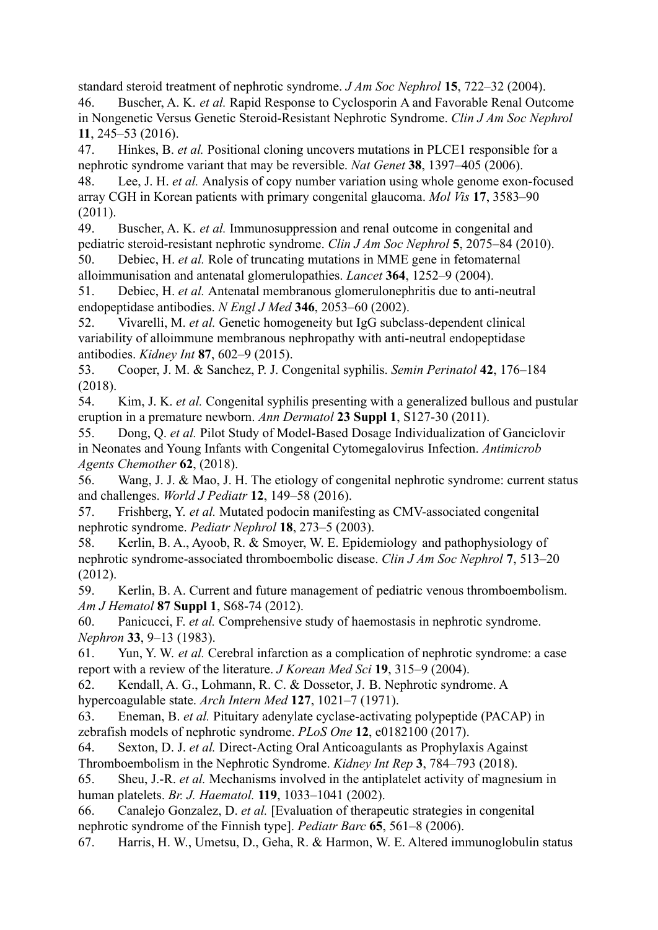standard steroid treatment of nephrotic syndrome. *J Am Soc Nephrol* **15**, 722–32 (2004).

46. Buscher, A. K. *et al.* Rapid Response to Cyclosporin A and Favorable Renal Outcome in Nongenetic Versus Genetic Steroid-Resistant Nephrotic Syndrome. *Clin J Am Soc Nephrol* **11**, 245–53 (2016).

47. Hinkes, B. *et al.* Positional cloning uncovers mutations in PLCE1 responsible for a nephrotic syndrome variant that may be reversible. *Nat Genet* **38**, 1397–405 (2006).

48. Lee, J. H. *et al.* Analysis of copy number variation using whole genome exon-focused array CGH in Korean patients with primary congenital glaucoma. *Mol Vis* **17**, 3583–90 (2011).

49. Buscher, A. K. *et al.* Immunosuppression and renal outcome in congenital and pediatric steroid-resistant nephrotic syndrome. *Clin J Am Soc Nephrol* **5**, 2075–84 (2010).

50. Debiec, H. *et al.* Role of truncating mutations in MME gene in fetomaternal alloimmunisation and antenatal glomerulopathies. *Lancet* **364**, 1252–9 (2004).

51. Debiec, H. *et al.* Antenatal membranous glomerulonephritis due to anti-neutral endopeptidase antibodies. *N Engl J Med* **346**, 2053–60 (2002).

52. Vivarelli, M. *et al.* Genetic homogeneity but IgG subclass-dependent clinical variability of alloimmune membranous nephropathy with anti-neutral endopeptidase antibodies. *Kidney Int* **87**, 602–9 (2015).

53. Cooper, J. M. & Sanchez, P. J. Congenital syphilis. *Semin Perinatol* **42**, 176–184 (2018).

54. Kim, J. K. *et al.* Congenital syphilis presenting with a generalized bullous and pustular eruption in a premature newborn. *Ann Dermatol* **23 Suppl 1**, S127-30 (2011).

55. Dong, Q. *et al.* Pilot Study of Model-Based Dosage Individualization of Ganciclovir in Neonates and Young Infants with Congenital Cytomegalovirus Infection. *Antimicrob Agents Chemother* **62**, (2018).

56. Wang, J. J. & Mao, J. H. The etiology of congenital nephrotic syndrome: current status and challenges. *World J Pediatr* **12**, 149–58 (2016).

57. Frishberg, Y. *et al.* Mutated podocin manifesting as CMV-associated congenital nephrotic syndrome. *Pediatr Nephrol* **18**, 273–5 (2003).

58. Kerlin, B. A., Ayoob, R. & Smoyer, W. E. Epidemiology and pathophysiology of nephrotic syndrome-associated thromboembolic disease. *Clin J Am Soc Nephrol* **7**, 513–20 (2012).

59. Kerlin, B. A. Current and future management of pediatric venous thromboembolism. *Am J Hematol* **87 Suppl 1**, S68-74 (2012).

60. Panicucci, F. *et al.* Comprehensive study of haemostasis in nephrotic syndrome. *Nephron* **33**, 9–13 (1983).

61. Yun, Y. W. *et al.* Cerebral infarction as a complication of nephrotic syndrome: a case report with a review of the literature. *J Korean Med Sci* **19**, 315–9 (2004).

62. Kendall, A. G., Lohmann, R. C. & Dossetor, J. B. Nephrotic syndrome. A hypercoagulable state. *Arch Intern Med* **127**, 1021–7 (1971).

63. Eneman, B. *et al.* Pituitary adenylate cyclase-activating polypeptide (PACAP) in zebrafish models of nephrotic syndrome. *PLoS One* **12**, e0182100 (2017).

64. Sexton, D. J. *et al.* Direct-Acting Oral Anticoagulants as Prophylaxis Against Thromboembolism in the Nephrotic Syndrome. *Kidney Int Rep* **3**, 784–793 (2018).

65. Sheu, J.-R. *et al.* Mechanisms involved in the antiplatelet activity of magnesium in human platelets. *Br. J. Haematol.* **119**, 1033–1041 (2002).

66. Canalejo Gonzalez, D. *et al.* [Evaluation of therapeutic strategies in congenital nephrotic syndrome of the Finnish type]. *Pediatr Barc* **65**, 561–8 (2006).

67. Harris, H. W., Umetsu, D., Geha, R. & Harmon, W. E. Altered immunoglobulin status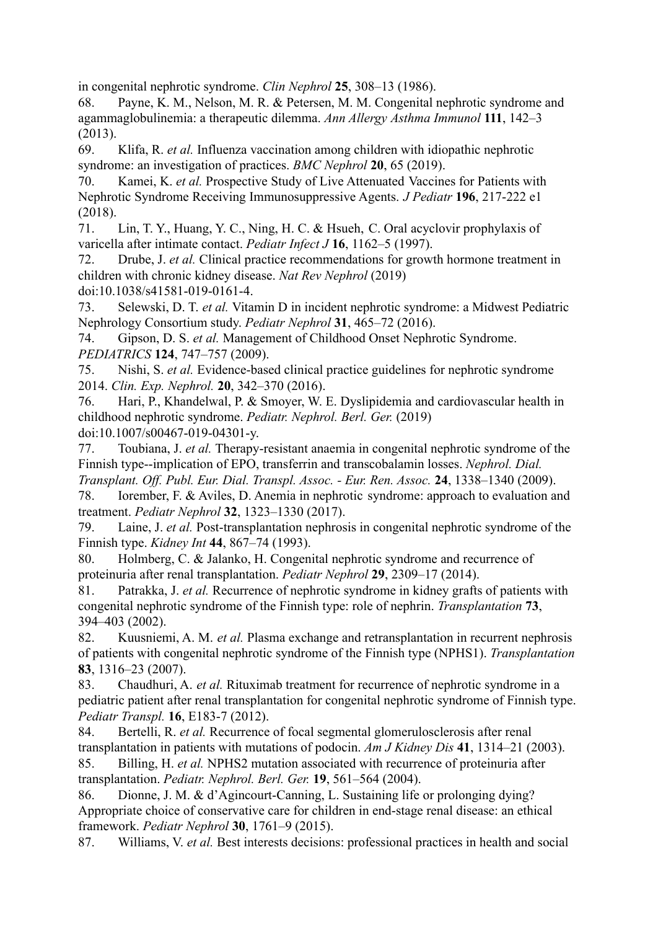in congenital nephrotic syndrome. *Clin Nephrol* **25**, 308–13 (1986).

68. Payne, K. M., Nelson, M. R. & Petersen, M. M. Congenital nephrotic syndrome and agammaglobulinemia: a therapeutic dilemma. *Ann Allergy Asthma Immunol* **111**, 142–3 (2013).

69. Klifa, R. *et al.* Influenza vaccination among children with idiopathic nephrotic syndrome: an investigation of practices. *BMC Nephrol* **20**, 65 (2019).

70. Kamei, K. *et al.* Prospective Study of Live Attenuated Vaccines for Patients with Nephrotic Syndrome Receiving Immunosuppressive Agents. *J Pediatr* **196**, 217-222 e1 (2018).

71. Lin, T. Y., Huang, Y. C., Ning, H. C. & Hsueh, C. Oral acyclovir prophylaxis of varicella after intimate contact. *Pediatr Infect J* **16**, 1162–5 (1997).

72. Drube, J. *et al.* Clinical practice recommendations for growth hormone treatment in children with chronic kidney disease. *Nat Rev Nephrol* (2019) doi:10.1038/s41581-019-0161-4.

73. Selewski, D. T. *et al.* Vitamin D in incident nephrotic syndrome: a Midwest Pediatric Nephrology Consortium study. *Pediatr Nephrol* **31**, 465–72 (2016).

74. Gipson, D. S. *et al.* Management of Childhood Onset Nephrotic Syndrome. *PEDIATRICS* **124**, 747–757 (2009).

75. Nishi, S. *et al.* Evidence-based clinical practice guidelines for nephrotic syndrome 2014. *Clin. Exp. Nephrol.* **20**, 342–370 (2016).

76. Hari, P., Khandelwal, P. & Smoyer, W. E. Dyslipidemia and cardiovascular health in childhood nephrotic syndrome. *Pediatr. Nephrol. Berl. Ger.* (2019) doi:10.1007/s00467-019-04301-y.

77. Toubiana, J. *et al.* Therapy-resistant anaemia in congenital nephrotic syndrome of the Finnish type--implication of EPO, transferrin and transcobalamin losses. *Nephrol. Dial. Transplant. Off. Publ. Eur. Dial. Transpl. Assoc. - Eur. Ren. Assoc.* **24**, 1338–1340 (2009).

78. Iorember, F. & Aviles, D. Anemia in nephrotic syndrome: approach to evaluation and treatment. *Pediatr Nephrol* **32**, 1323–1330 (2017).

79. Laine, J. *et al.* Post-transplantation nephrosis in congenital nephrotic syndrome of the Finnish type. *Kidney Int* **44**, 867–74 (1993).

80. Holmberg, C. & Jalanko, H. Congenital nephrotic syndrome and recurrence of proteinuria after renal transplantation. *Pediatr Nephrol* **29**, 2309–17 (2014).

81. Patrakka, J. *et al.* Recurrence of nephrotic syndrome in kidney grafts of patients with congenital nephrotic syndrome of the Finnish type: role of nephrin. *Transplantation* **73**, 394–403 (2002).

82. Kuusniemi, A. M. *et al.* Plasma exchange and retransplantation in recurrent nephrosis of patients with congenital nephrotic syndrome of the Finnish type (NPHS1). *Transplantation* **83**, 1316–23 (2007).

83. Chaudhuri, A. *et al.* Rituximab treatment for recurrence of nephrotic syndrome in a pediatric patient after renal transplantation for congenital nephrotic syndrome of Finnish type. *Pediatr Transpl.* **16**, E183-7 (2012).

84. Bertelli, R. *et al.* Recurrence of focal segmental glomerulosclerosis after renal transplantation in patients with mutations of podocin. *Am J Kidney Dis* **41**, 1314–21 (2003).

85. Billing, H. *et al.* NPHS2 mutation associated with recurrence of proteinuria after transplantation. *Pediatr. Nephrol. Berl. Ger.* **19**, 561–564 (2004).

86. Dionne, J. M. & d'Agincourt-Canning, L. Sustaining life or prolonging dying? Appropriate choice of conservative care for children in end-stage renal disease: an ethical framework. *Pediatr Nephrol* **30**, 1761–9 (2015).

87. Williams, V. *et al.* Best interests decisions: professional practices in health and social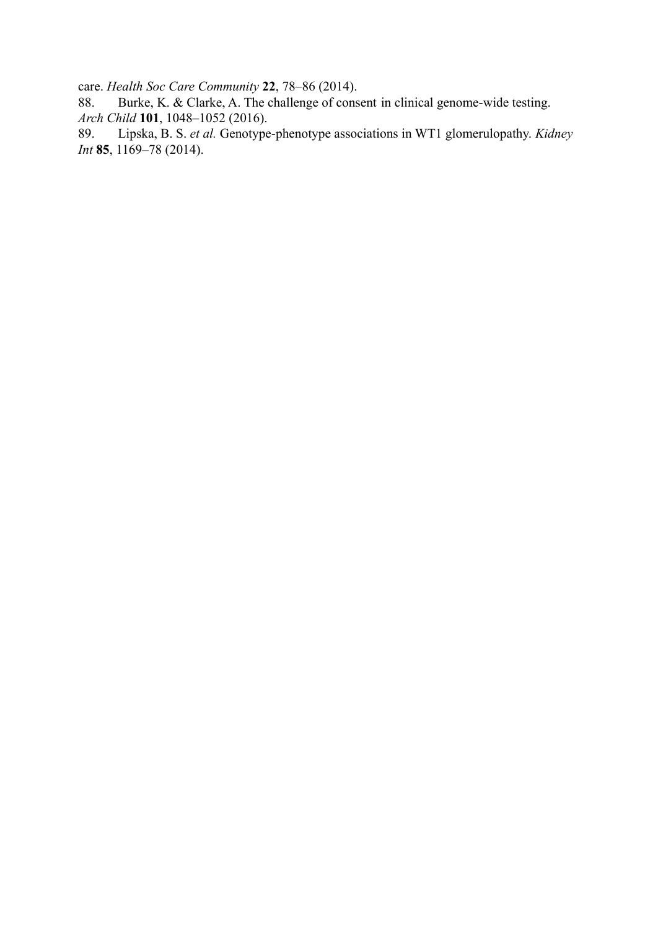care. *Health Soc Care Community* **22**, 78–86 (2014).

88. Burke, K. & Clarke, A. The challenge of consent in clinical genome-wide testing. *Arch Child* **101**, 1048–1052 (2016).<br>89. Lipska, B. S. *et al.* Genotype

89. Lipska, B. S. *et al.* Genotype-phenotype associations in WT1 glomerulopathy. *Kidney Int* **85**, 1169–78 (2014).